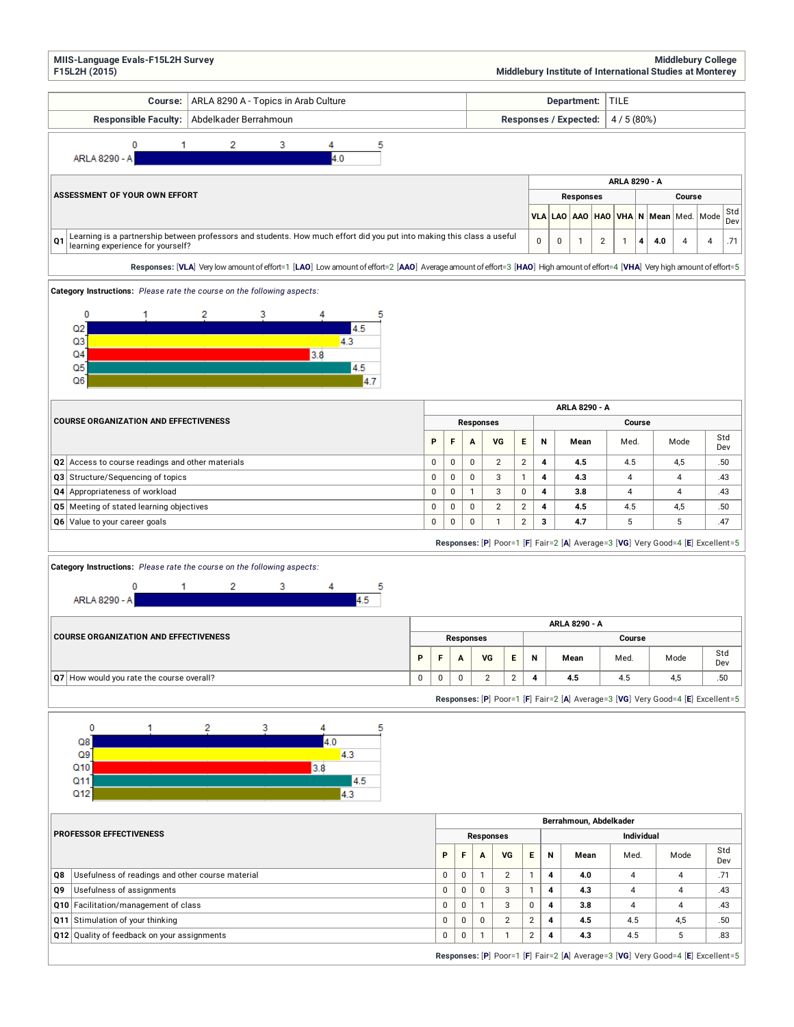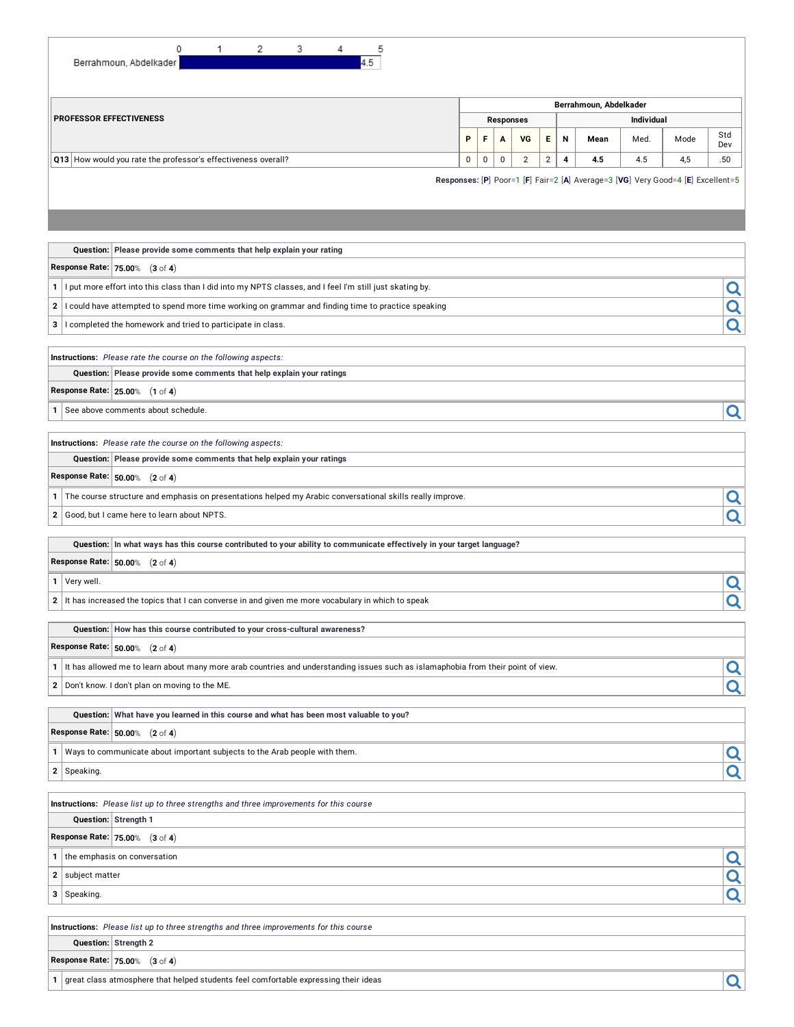| 0<br>3<br>5<br>2<br>4<br>4.5<br>Berrahmoun, Abdelkader               |             |             |                  |    |                |                   |                                                                                 |      |      |            |  |  |
|----------------------------------------------------------------------|-------------|-------------|------------------|----|----------------|-------------------|---------------------------------------------------------------------------------|------|------|------------|--|--|
|                                                                      |             |             |                  |    |                |                   | Berrahmoun, Abdelkader                                                          |      |      |            |  |  |
| <b>PROFESSOR EFFECTIVENESS</b>                                       |             |             | <b>Responses</b> |    |                | <b>Individual</b> |                                                                                 |      |      |            |  |  |
|                                                                      | P           | F           | $\mathbf{A}$     | VG | E              | $\mathsf{N}$      | Mean                                                                            | Med. | Mode | Std<br>Dev |  |  |
| Q13 How would you rate the professor's effectiveness overall?        | $\mathbf 0$ | $\mathbf 0$ | $\mathbf 0$      | 2  | $\overline{2}$ | 4                 | 4.5                                                                             | 4.5  | 4,5  | .50        |  |  |
|                                                                      |             |             |                  |    |                |                   | Responses: [P] Poor=1 [F] Fair=2 [A] Average=3 [VG] Very Good=4 [E] Excellent=5 |      |      |            |  |  |
|                                                                      |             |             |                  |    |                |                   |                                                                                 |      |      |            |  |  |
| Question: Please provide some comments that help explain your rating |             |             |                  |    |                |                   |                                                                                 |      |      |            |  |  |

| <b>Response Rate: 75.00% (3 of 4)</b> |  |  |
|---------------------------------------|--|--|
|---------------------------------------|--|--|

- **1** I put more effort into this class than I did into my NPTS classes, and I feel I'm still just skating by.
- **2** I could have attempted to spend more time working on grammar and finding time to practice speaking
- **<sup>3</sup>** <sup>I</sup> completed the homework and tried to participate in class.

**Instructions:** *Please rate the course on the following aspects:*

**Question: Please provide some comments that help explain your ratings**

**Response Rate: 25.00**% (**1** of **4**)

**1** See above comments about schedule.

**Instructions:** *Please rate the course on the following aspects:*

**Question: Please provide some comments that help explain your ratings**

**Response Rate: 50.00**% (**2** of **4**)

|  | 1 The course structure and emphasis on presentations helped my Arabic conversational skills really improve. |  |  |
|--|-------------------------------------------------------------------------------------------------------------|--|--|
|--|-------------------------------------------------------------------------------------------------------------|--|--|

**2** Good, but I came here to learn about NPTS.

Question: In what ways has this course contributed to your ability to communicate effectively in your target language?

**Response Rate: 50.00**% (**2** of **4**)

**1** Very well.

**2** It has increased the topics that I can converse in and given me more vocabulary in which to speak

**Question: How has this course contributed to your cross-cultural awareness?**

**Response Rate: 50.00**% (**2** of **4**)

**1** It has allowed me to learn about many more arab countries and understanding issues such as islamaphobia from their point of view.

**<sup>2</sup>** Don't know. <sup>I</sup> don't plan on moving to the ME.

**Question: What have you learned in this course and what has been most valuable to you?**

**Response Rate: 50.00**% (**2** of **4**)

**1** Ways to communicate about important subjects to the Arab people with them.

**<sup>2</sup>** Speaking.

**Instructions:** *Please list up to three strengths and three improvements for this course*

**Question: Strength 1**

**Response Rate: 75.00**% (**3** of **4**)

**1** the emphasis on conversation<br> **2** subject matter

**<sup>2</sup>** subject matter

**<sup>3</sup>** Speaking.

**Instructions:** *Please list up to three strengths and three improvements for this course*

**Question: Strength 2**

**Response Rate: 75.00**% (**3** of **4**)

**<sup>1</sup>** great class atmosphere that helped students feel comfortable expressing their ideas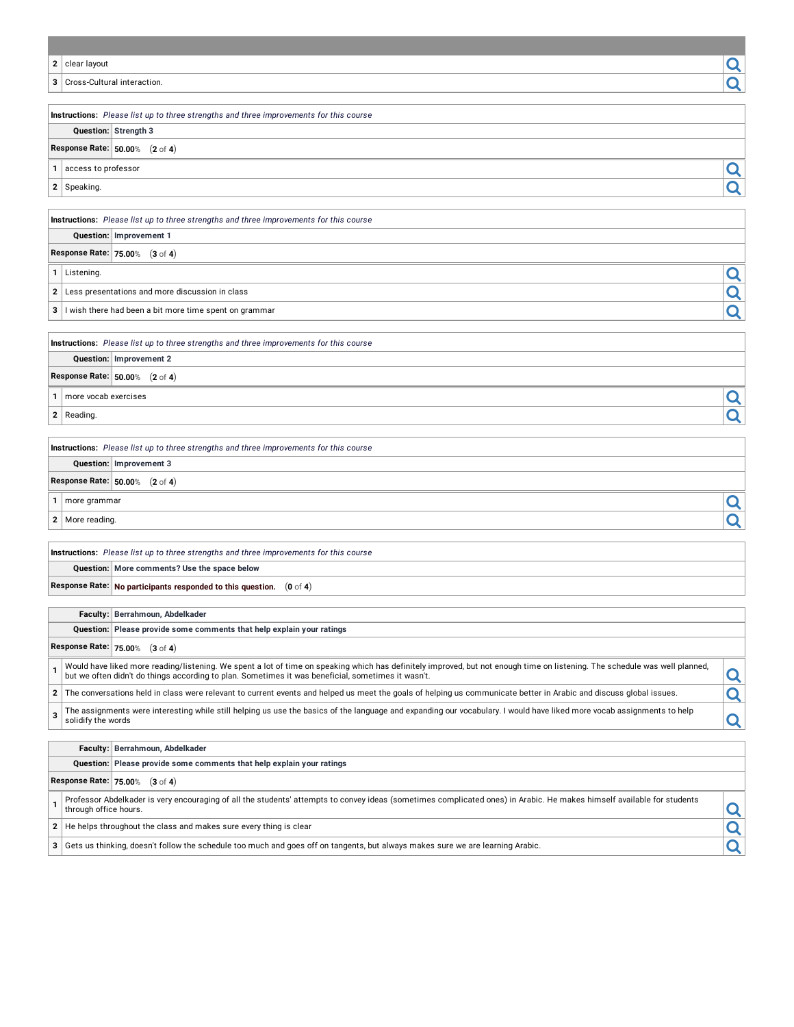| 2            | clear layout                                                                                                                                                                                                                                                                      |   |
|--------------|-----------------------------------------------------------------------------------------------------------------------------------------------------------------------------------------------------------------------------------------------------------------------------------|---|
| 3            | Cross-Cultural interaction.                                                                                                                                                                                                                                                       |   |
|              |                                                                                                                                                                                                                                                                                   |   |
|              | Instructions: Please list up to three strengths and three improvements for this course                                                                                                                                                                                            |   |
|              | Question: Strength 3                                                                                                                                                                                                                                                              |   |
|              | Response Rate: 50.00% (2 of 4)                                                                                                                                                                                                                                                    |   |
| 1            | access to professor                                                                                                                                                                                                                                                               | Q |
|              | 2 Speaking.                                                                                                                                                                                                                                                                       |   |
|              |                                                                                                                                                                                                                                                                                   |   |
|              | Instructions: Please list up to three strengths and three improvements for this course<br>Question: Improvement 1                                                                                                                                                                 |   |
|              | Response Rate: 75.00% (3 of 4)                                                                                                                                                                                                                                                    |   |
|              | 1 Listening.                                                                                                                                                                                                                                                                      |   |
|              |                                                                                                                                                                                                                                                                                   | Q |
| 2            | Less presentations and more discussion in class                                                                                                                                                                                                                                   |   |
| 3            | I wish there had been a bit more time spent on grammar                                                                                                                                                                                                                            |   |
|              | Instructions: Please list up to three strengths and three improvements for this course                                                                                                                                                                                            |   |
|              | Question: Improvement 2                                                                                                                                                                                                                                                           |   |
|              | Response Rate: 50.00% (2 of 4)                                                                                                                                                                                                                                                    |   |
| 1            | more vocab exercises                                                                                                                                                                                                                                                              |   |
| 2 Reading.   |                                                                                                                                                                                                                                                                                   |   |
|              |                                                                                                                                                                                                                                                                                   |   |
|              | Instructions: Please list up to three strengths and three improvements for this course                                                                                                                                                                                            |   |
|              | Question: Improvement 3                                                                                                                                                                                                                                                           |   |
|              | Response Rate: 50.00% (2 of 4)                                                                                                                                                                                                                                                    |   |
| 1            | more grammar                                                                                                                                                                                                                                                                      |   |
| $\mathbf{2}$ | More reading.                                                                                                                                                                                                                                                                     |   |
|              |                                                                                                                                                                                                                                                                                   |   |
|              | Instructions: Please list up to three strengths and three improvements for this course                                                                                                                                                                                            |   |
|              | Question: More comments? Use the space below                                                                                                                                                                                                                                      |   |
|              | Response Rate: No participants responded to this question. $(0 \text{ of } 4)$                                                                                                                                                                                                    |   |
|              | Faculty: Berrahmoun, Abdelkader                                                                                                                                                                                                                                                   |   |
|              | Question: Please provide some comments that help explain your ratings                                                                                                                                                                                                             |   |
|              | Response Rate: 75.00% (3 of 4)                                                                                                                                                                                                                                                    |   |
| 1            | Would have liked more reading/listening. We spent a lot of time on speaking which has definitely improved, but not enough time on listening. The schedule was well planned,<br>but we often didn't do things according to plan. Sometimes it was beneficial, sometimes it wasn't. | Q |
| 2            | The conversations held in class were relevant to current events and helped us meet the goals of helping us communicate better in Arabic and discuss global issues.                                                                                                                | Q |
| 3            | The assignments were interesting while still helping us use the basics of the language and expanding our vocabulary. I would have liked more vocab assignments to help<br>solidify the words                                                                                      | Q |
|              |                                                                                                                                                                                                                                                                                   |   |
|              | Faculty: Berrahmoun, Abdelkader<br>Question: Please provide some comments that help explain your ratings                                                                                                                                                                          |   |
|              | Response Rate: 75.00% (3 of 4)                                                                                                                                                                                                                                                    |   |
|              | Professor Abdelkader is very encouraging of all the students' attempts to convey ideas (sometimes complicated ones) in Arabic. He makes himself available for students                                                                                                            |   |
| 1            | through office hours.                                                                                                                                                                                                                                                             | Q |
|              | 2   He helps throughout the class and makes sure every thing is clear                                                                                                                                                                                                             |   |

**3** Gets us thinking, doesn't follow the schedule too much and goes off on tangents, but always makes sure we are learning Arabic.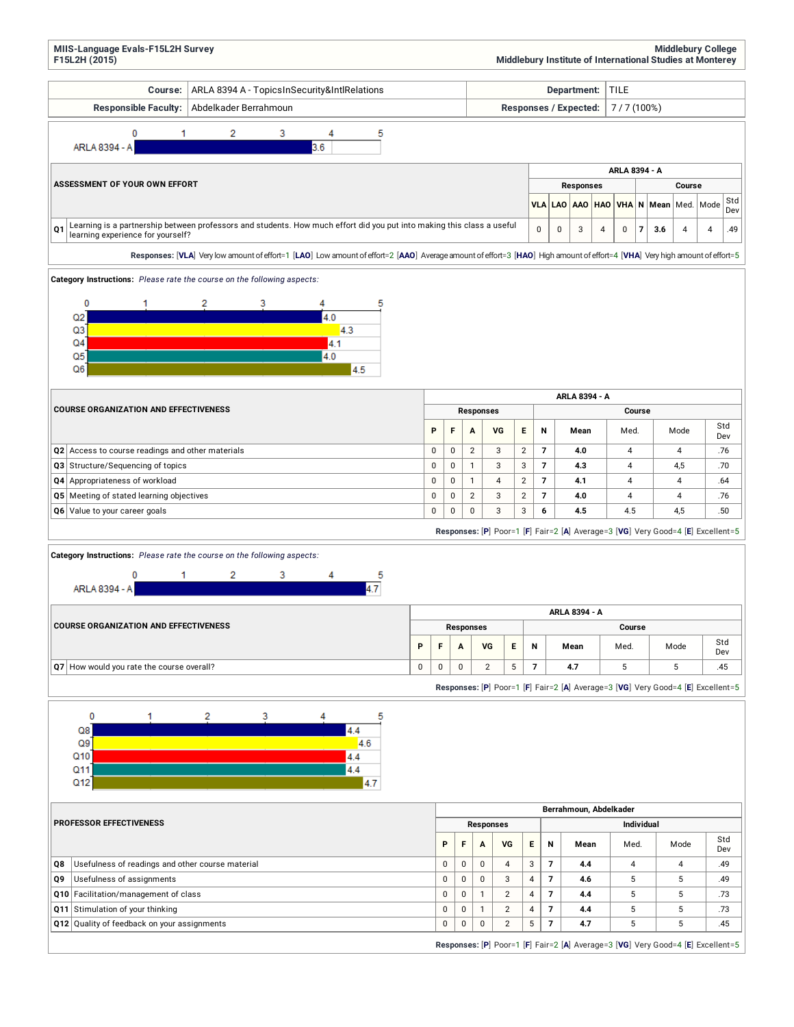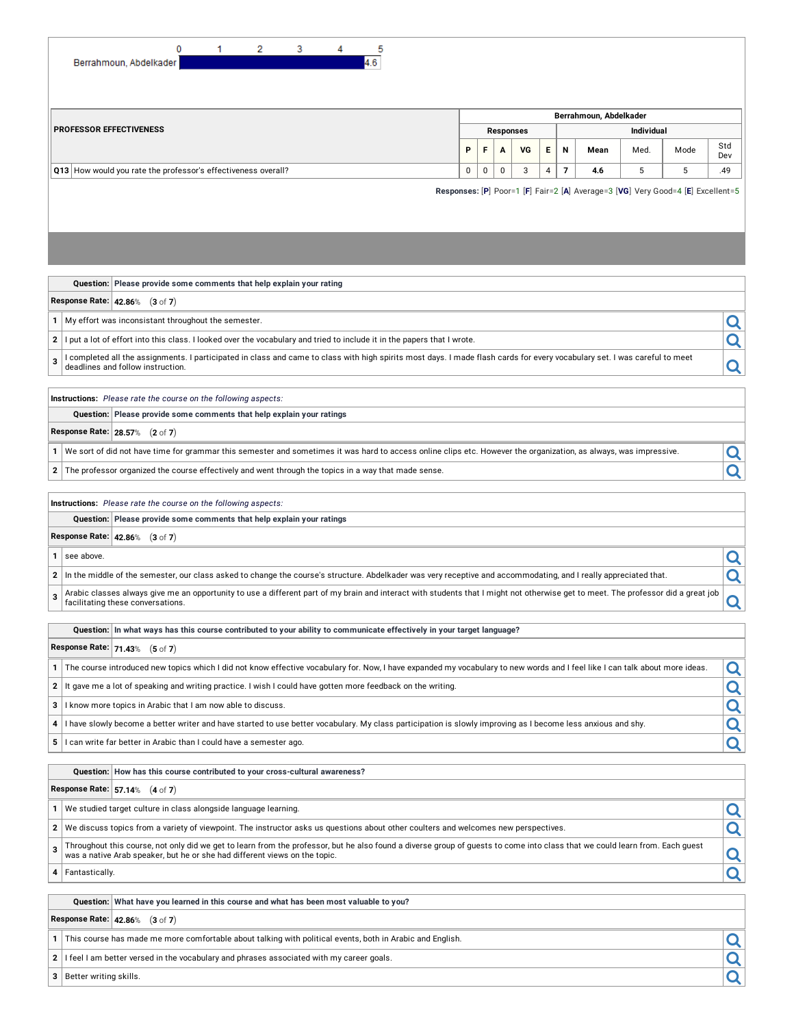| 0<br>2<br>3<br>5<br>1<br>4.6                                                                                                                                                                                                |   |   |   |                  |   |   |                        |            |                                                                                 |            |  |  |  |
|-----------------------------------------------------------------------------------------------------------------------------------------------------------------------------------------------------------------------------|---|---|---|------------------|---|---|------------------------|------------|---------------------------------------------------------------------------------|------------|--|--|--|
| Berrahmoun, Abdelkader                                                                                                                                                                                                      |   |   |   |                  |   |   |                        |            |                                                                                 |            |  |  |  |
|                                                                                                                                                                                                                             |   |   |   |                  |   |   |                        |            |                                                                                 |            |  |  |  |
| <b>PROFESSOR EFFECTIVENESS</b>                                                                                                                                                                                              |   |   |   |                  |   |   | Berrahmoun, Abdelkader |            |                                                                                 |            |  |  |  |
|                                                                                                                                                                                                                             |   |   |   | <b>Responses</b> |   |   |                        | Individual |                                                                                 | Std        |  |  |  |
|                                                                                                                                                                                                                             | P | F | A | VG               | Е | N | Mean                   | Med.       | Mode                                                                            | Dev<br>.49 |  |  |  |
| $\overline{7}$<br>5<br>5<br>Q13 How would you rate the professor's effectiveness overall?<br>0<br>0<br>0<br>3<br>4<br>4.6                                                                                                   |   |   |   |                  |   |   |                        |            |                                                                                 |            |  |  |  |
|                                                                                                                                                                                                                             |   |   |   |                  |   |   |                        |            | Responses: [P] Poor=1 [F] Fair=2 [A] Average=3 [VG] Very Good=4 [E] Excellent=5 |            |  |  |  |
|                                                                                                                                                                                                                             |   |   |   |                  |   |   |                        |            |                                                                                 |            |  |  |  |
|                                                                                                                                                                                                                             |   |   |   |                  |   |   |                        |            |                                                                                 |            |  |  |  |
|                                                                                                                                                                                                                             |   |   |   |                  |   |   |                        |            |                                                                                 |            |  |  |  |
| Question: Please provide some comments that help explain your rating                                                                                                                                                        |   |   |   |                  |   |   |                        |            |                                                                                 |            |  |  |  |
| Response Rate: 42.86% (3 of 7)                                                                                                                                                                                              |   |   |   |                  |   |   |                        |            |                                                                                 |            |  |  |  |
| My effort was inconsistant throughout the semester.<br>1                                                                                                                                                                    |   |   |   |                  |   |   |                        |            |                                                                                 | Q          |  |  |  |
| $\mathbf{2}$<br>I put a lot of effort into this class. I looked over the vocabulary and tried to include it in the papers that I wrote.                                                                                     |   |   |   |                  |   |   |                        |            |                                                                                 | Q          |  |  |  |
| l completed all the assignments. I participated in class and came to class with high spirits most days. I made flash cards for every vocabulary set. I was careful to meet<br>3<br>deadlines and follow instruction.        |   |   |   |                  |   |   |                        |            |                                                                                 | Q          |  |  |  |
|                                                                                                                                                                                                                             |   |   |   |                  |   |   |                        |            |                                                                                 |            |  |  |  |
| Instructions: Please rate the course on the following aspects:                                                                                                                                                              |   |   |   |                  |   |   |                        |            |                                                                                 |            |  |  |  |
| Question: Please provide some comments that help explain your ratings                                                                                                                                                       |   |   |   |                  |   |   |                        |            |                                                                                 |            |  |  |  |
| Response Rate: 28.57% (2 of 7)                                                                                                                                                                                              |   |   |   |                  |   |   |                        |            |                                                                                 |            |  |  |  |
| We sort of did not have time for grammar this semester and sometimes it was hard to access online clips etc. However the organization, as always, was impressive.<br>1                                                      |   |   |   |                  |   |   |                        |            |                                                                                 | Q          |  |  |  |
| The professor organized the course effectively and went through the topics in a way that made sense.<br>2                                                                                                                   |   |   |   |                  |   |   |                        |            |                                                                                 | Q          |  |  |  |
| Instructions: Please rate the course on the following aspects:                                                                                                                                                              |   |   |   |                  |   |   |                        |            |                                                                                 |            |  |  |  |
| Question: Please provide some comments that help explain your ratings                                                                                                                                                       |   |   |   |                  |   |   |                        |            |                                                                                 |            |  |  |  |
| Response Rate: 42.86% (3 of 7)                                                                                                                                                                                              |   |   |   |                  |   |   |                        |            |                                                                                 |            |  |  |  |
| see above.<br>1                                                                                                                                                                                                             |   |   |   |                  |   |   |                        |            |                                                                                 | Q          |  |  |  |
| $\mathbf{2}$<br>In the middle of the semester, our class asked to change the course's structure. Abdelkader was very receptive and accommodating, and I really appreciated that.                                            |   |   |   |                  |   |   |                        |            |                                                                                 | Q          |  |  |  |
| Arabic classes always give me an opportunity to use a different part of my brain and interact with students that I might not otherwise get to meet. The professor did a great job<br>3<br>facilitating these conversations. |   |   |   |                  |   |   |                        |            |                                                                                 | Q          |  |  |  |
| Question: In what ways has this course contributed to your ability to communicate effectively in your target language?                                                                                                      |   |   |   |                  |   |   |                        |            |                                                                                 |            |  |  |  |
| Response Rate: $\vert$ 71.43% (5 of 7)                                                                                                                                                                                      |   |   |   |                  |   |   |                        |            |                                                                                 |            |  |  |  |
| The course introduced new topics which I did not know effective vocabulary for. Now, I have expanded my vocabulary to new words and I feel like I can talk about more ideas.<br>1                                           |   |   |   |                  |   |   |                        |            |                                                                                 | Q          |  |  |  |
| It gave me a lot of speaking and writing practice. I wish I could have gotten more feedback on the writing.<br>2                                                                                                            |   |   |   |                  |   |   |                        |            |                                                                                 | Q          |  |  |  |
| I know more topics in Arabic that I am now able to discuss.<br>3                                                                                                                                                            |   |   |   |                  |   |   |                        |            |                                                                                 | Q          |  |  |  |
| I have slowly become a better writer and have started to use better vocabulary. My class participation is slowly improving as I become less anxious and shy.<br>4                                                           |   |   |   |                  |   |   |                        |            |                                                                                 | Q          |  |  |  |
| I can write far better in Arabic than I could have a semester ago.<br>5                                                                                                                                                     |   |   |   |                  |   |   |                        |            |                                                                                 | Q          |  |  |  |
|                                                                                                                                                                                                                             |   |   |   |                  |   |   |                        |            |                                                                                 |            |  |  |  |
| Question: How has this course contributed to your cross-cultural awareness?<br><b>Response Rate: 57.14% <math>(4 \text{ of } 7)</math></b>                                                                                  |   |   |   |                  |   |   |                        |            |                                                                                 |            |  |  |  |
|                                                                                                                                                                                                                             |   |   |   |                  |   |   |                        |            |                                                                                 |            |  |  |  |
| We studied target culture in class alongside language learning.<br>1<br>$\mathbf{2}$<br>We discuss topics from a variety of viewpoint. The instructor asks us questions about other coulters and welcomes new perspectives. |   |   |   |                  |   |   |                        |            |                                                                                 | Q          |  |  |  |
| Throughout this course, not only did we get to learn from the professor, but he also found a diverse group of guests to come into class that we could learn from. Each guest                                                |   |   |   |                  |   |   |                        |            |                                                                                 | Q          |  |  |  |
| 3<br>was a native Arab speaker, but he or she had different views on the topic.                                                                                                                                             |   |   |   |                  |   |   |                        |            |                                                                                 | <u>Q</u>   |  |  |  |
| Fantastically.<br>4                                                                                                                                                                                                         |   |   |   |                  |   |   |                        |            |                                                                                 | Q          |  |  |  |
| Question: What have you learned in this course and what has been most valuable to you?                                                                                                                                      |   |   |   |                  |   |   |                        |            |                                                                                 |            |  |  |  |
| Response Rate: 42.86% (3 of 7)                                                                                                                                                                                              |   |   |   |                  |   |   |                        |            |                                                                                 |            |  |  |  |
| This course has made me more comfortable about talking with political events, both in Arabic and English.<br>1                                                                                                              |   |   |   |                  |   |   |                        |            |                                                                                 |            |  |  |  |
| I feel I am better versed in the vocabulary and phrases associated with my career goals.<br>2                                                                                                                               |   |   |   |                  |   |   |                        |            |                                                                                 | Q          |  |  |  |
| 3 Better writing skills.                                                                                                                                                                                                    |   |   |   |                  |   |   |                        |            |                                                                                 |            |  |  |  |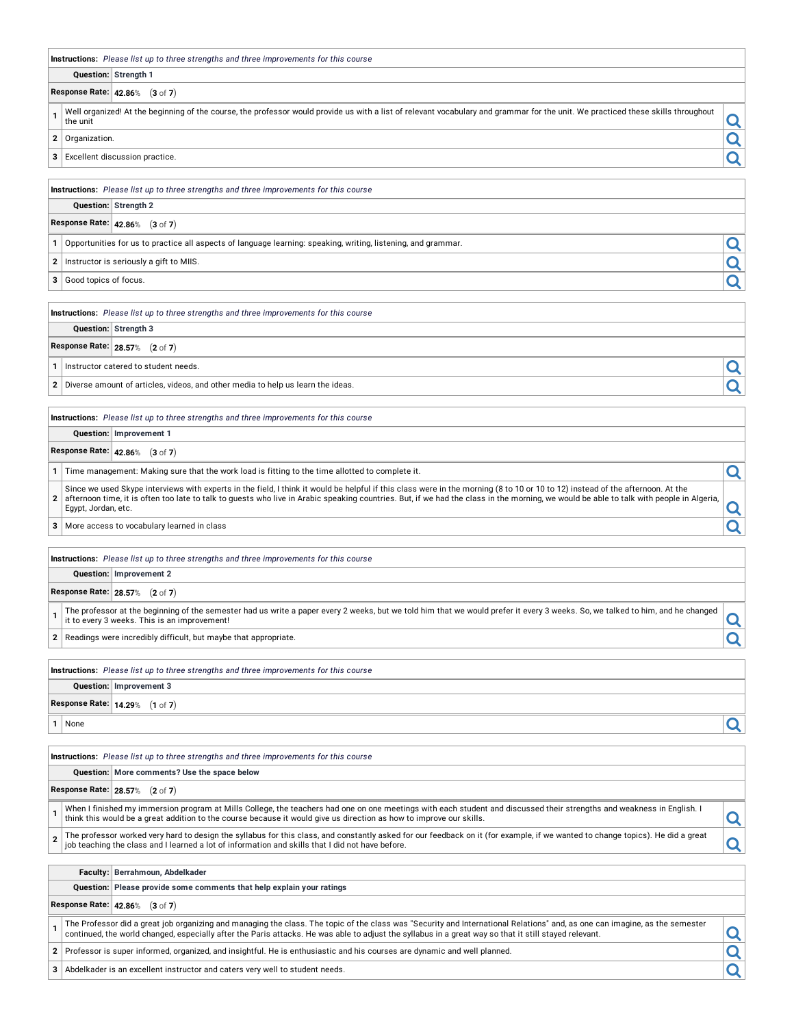| Instructions: Please list up to three strengths and three improvements for this course                                                                                                                                                                                                                                                                                                                |   |
|-------------------------------------------------------------------------------------------------------------------------------------------------------------------------------------------------------------------------------------------------------------------------------------------------------------------------------------------------------------------------------------------------------|---|
| Question: Strength 1                                                                                                                                                                                                                                                                                                                                                                                  |   |
| Response Rate: 42.86% (3 of 7)                                                                                                                                                                                                                                                                                                                                                                        |   |
| Well organized! At the beginning of the course, the professor would provide us with a list of relevant vocabulary and grammar for the unit. We practiced these skills throughout<br>$\mathbf{1}$<br>the unit                                                                                                                                                                                          | Q |
| $\mathbf{2}$<br>Organization.                                                                                                                                                                                                                                                                                                                                                                         | Q |
| Excellent discussion practice.<br>3                                                                                                                                                                                                                                                                                                                                                                   | Q |
| <b>Instructions:</b> Please list up to three strengths and three improvements for this course                                                                                                                                                                                                                                                                                                         |   |
| Question: Strength 2                                                                                                                                                                                                                                                                                                                                                                                  |   |
| Response Rate: 42.86% (3 of 7)                                                                                                                                                                                                                                                                                                                                                                        |   |
| Opportunities for us to practice all aspects of language learning: speaking, writing, listening, and grammar.<br>1                                                                                                                                                                                                                                                                                    | Q |
| Instructor is seriously a gift to MIIS.<br>2                                                                                                                                                                                                                                                                                                                                                          | Q |
| Good topics of focus.<br>3                                                                                                                                                                                                                                                                                                                                                                            | Q |
|                                                                                                                                                                                                                                                                                                                                                                                                       |   |
| Instructions: Please list up to three strengths and three improvements for this course                                                                                                                                                                                                                                                                                                                |   |
| Question: Strength 3                                                                                                                                                                                                                                                                                                                                                                                  |   |
| Response Rate: 28.57% (2 of 7)                                                                                                                                                                                                                                                                                                                                                                        |   |
| Instructor catered to student needs.<br>1                                                                                                                                                                                                                                                                                                                                                             | Q |
| $\mathbf{2}$<br>Diverse amount of articles, videos, and other media to help us learn the ideas.                                                                                                                                                                                                                                                                                                       | Q |
|                                                                                                                                                                                                                                                                                                                                                                                                       |   |
| Instructions: Please list up to three strengths and three improvements for this course                                                                                                                                                                                                                                                                                                                |   |
| Question: Improvement 1                                                                                                                                                                                                                                                                                                                                                                               |   |
| Response Rate: 42.86% (3 of 7)                                                                                                                                                                                                                                                                                                                                                                        |   |
| Time management: Making sure that the work load is fitting to the time allotted to complete it.<br>1                                                                                                                                                                                                                                                                                                  | Q |
| Since we used Skype interviews with experts in the field, I think it would be helpful if this class were in the morning (8 to 10 or 10 to 12) instead of the afternoon. At the<br>afternoon time, it is often too late to talk to guests who live in Arabic speaking countries. But, if we had the class in the morning, we would be able to talk with people in Algeria,<br>2<br>Egypt, Jordan, etc. | Q |
| 3<br>More access to vocabulary learned in class                                                                                                                                                                                                                                                                                                                                                       | Q |
|                                                                                                                                                                                                                                                                                                                                                                                                       |   |
| Instructions: Please list up to three strengths and three improvements for this course                                                                                                                                                                                                                                                                                                                |   |
| Question: Improvement 2                                                                                                                                                                                                                                                                                                                                                                               |   |
| Response Rate: 28.57% (2 of 7)                                                                                                                                                                                                                                                                                                                                                                        |   |
| The professor at the beginning of the semester had us write a paper every 2 weeks, but we told him that we would prefer it every 3 weeks. So, we talked to him, and he changed<br>1<br>it to every 3 weeks. This is an improvement!                                                                                                                                                                   | Q |
| Readings were incredibly difficult, but maybe that appropriate.<br>$\mathbf{2}$                                                                                                                                                                                                                                                                                                                       | Q |
| Instructions: Please list up to three strengths and three improvements for this course                                                                                                                                                                                                                                                                                                                |   |
| Question: Improvement 3                                                                                                                                                                                                                                                                                                                                                                               |   |
| Response Rate: 14.29% (1 of 7)                                                                                                                                                                                                                                                                                                                                                                        |   |
| 1<br>None                                                                                                                                                                                                                                                                                                                                                                                             | Q |
|                                                                                                                                                                                                                                                                                                                                                                                                       |   |
| <b>Instructions:</b> Please list up to three strengths and three improvements for this course                                                                                                                                                                                                                                                                                                         |   |
| Question: More comments? Use the space below                                                                                                                                                                                                                                                                                                                                                          |   |
| Response Rate: 28.57% (2 of 7)                                                                                                                                                                                                                                                                                                                                                                        |   |
| When I finished my immersion program at Mills College, the teachers had one on one meetings with each student and discussed their strengths and weakness in English. I<br>$\mathbf{1}$<br>think this would be a great addition to the course because it would give us direction as how to improve our skills.                                                                                         | Q |
| The professor worked very hard to design the syllabus for this class, and constantly asked for our feedback on it (for example, if we wanted to change topics). He did a great<br>$\overline{2}$<br>job teaching the class and I learned a lot of information and skills that I did not have before.                                                                                                  | Q |
| Faculty: Berrahmoun, Abdelkader                                                                                                                                                                                                                                                                                                                                                                       |   |
| Question: Please provide some comments that help explain your ratings                                                                                                                                                                                                                                                                                                                                 |   |
| Response Rate: 42.86% (3 of 7)                                                                                                                                                                                                                                                                                                                                                                        |   |
| The Professor did a great job organizing and managing the class. The topic of the class was "Security and International Relations" and, as one can imagine, as the semester<br>1<br>continued, the world changed, especially after the Paris attacks. He was able to adjust the syllabus in a great way so that it still stayed relevant.                                                             | Q |
| $\mathbf{2}$<br>Professor is super informed, organized, and insightful. He is enthusiastic and his courses are dynamic and well planned.                                                                                                                                                                                                                                                              |   |
| 3<br>Abdelkader is an excellent instructor and caters very well to student needs.                                                                                                                                                                                                                                                                                                                     |   |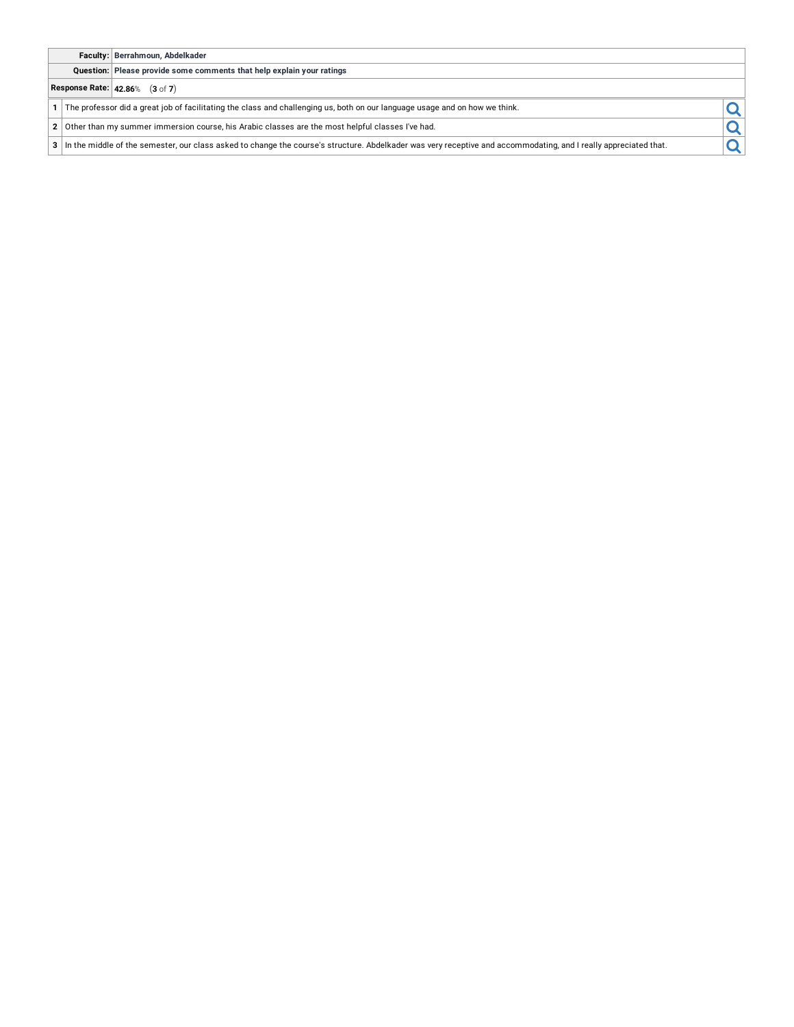## **Faculty: Berrahmoun, Abdelkader**

**Question: Please provide some comments that help explain your ratings**

# **Response Rate: 42.86**% (**3** of **7**)

**2** Other than my summer immersion course, his Arabic classes are the most helpful classes I've had.

**1** The professor did a great job of facilitating the class and challenging us, both on our language usage and on how we think.<br> **2** Other than my summer immersion course, his Arabic classes are the most helpful classes I' **<sup>3</sup>** In the middle of the semester, our class asked to change the course's structure. Abdelkader was very receptive and accommodating, and <sup>I</sup> really appreciated that.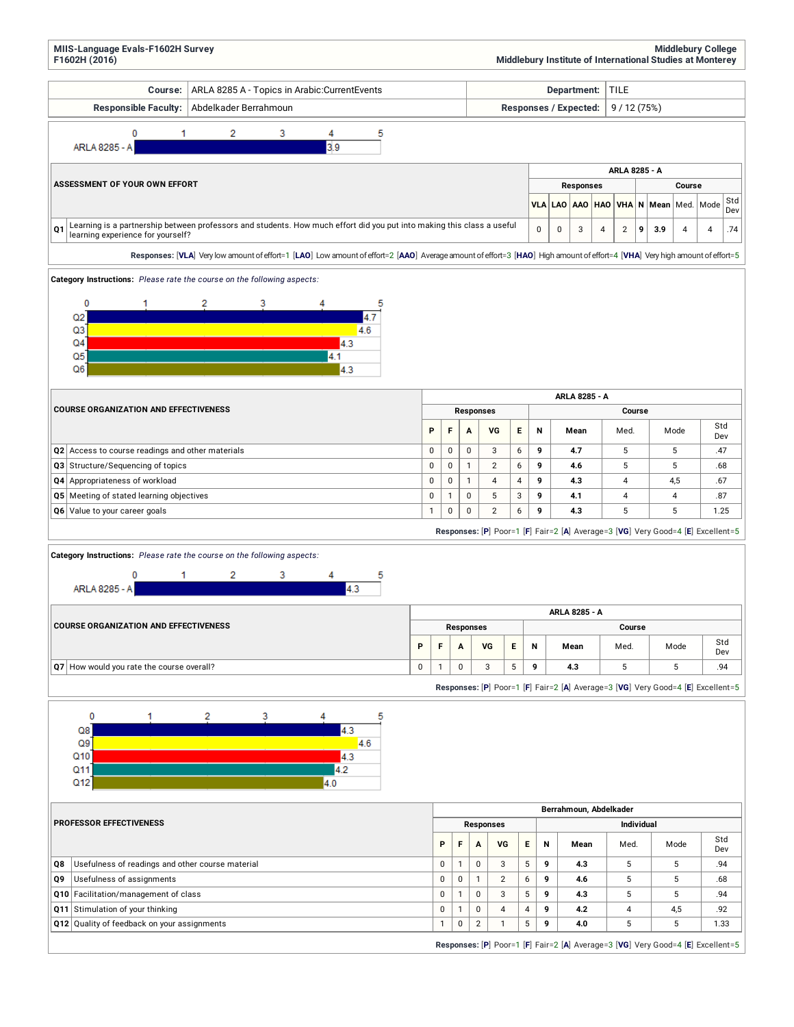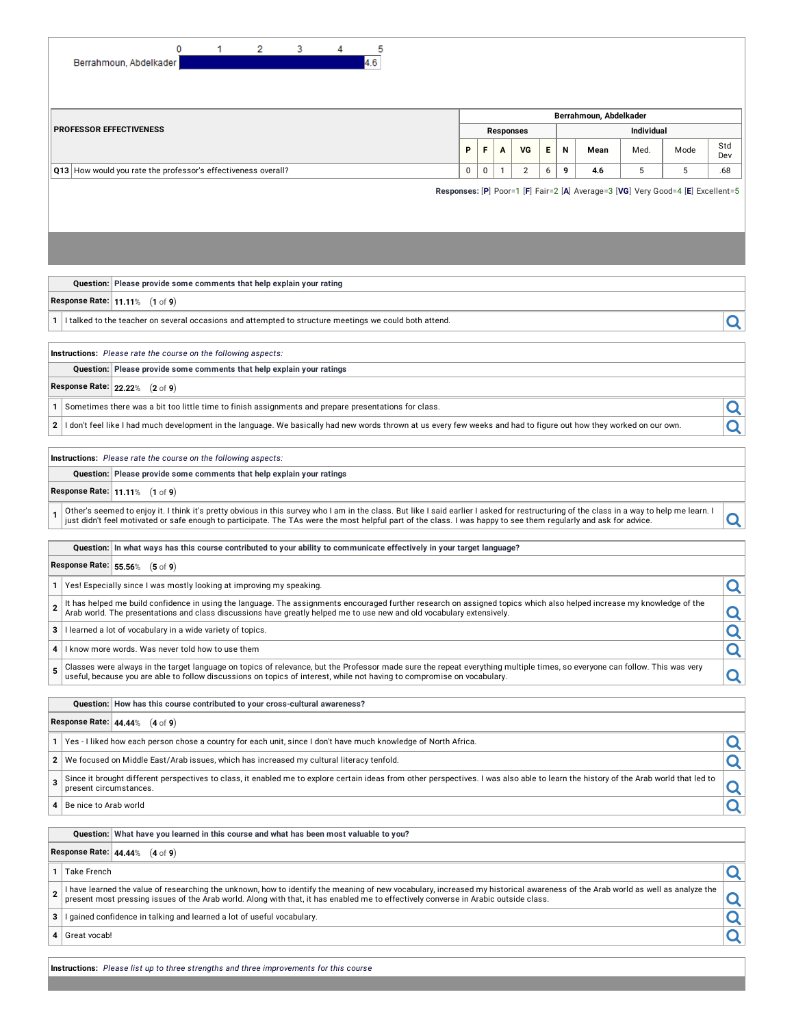| 2<br>0<br>3<br>1.<br>5<br>.6<br>Berrahmoun, Abdelkader                                                                                                                                                                                                                                                                                                                                                                                                                                                                                        |                                       |  |        |    |   |   |                        |      |                                                                                 |            |  |  |
|-----------------------------------------------------------------------------------------------------------------------------------------------------------------------------------------------------------------------------------------------------------------------------------------------------------------------------------------------------------------------------------------------------------------------------------------------------------------------------------------------------------------------------------------------|---------------------------------------|--|--------|----|---|---|------------------------|------|---------------------------------------------------------------------------------|------------|--|--|
|                                                                                                                                                                                                                                                                                                                                                                                                                                                                                                                                               |                                       |  |        |    |   |   | Berrahmoun, Abdelkader |      |                                                                                 |            |  |  |
| <b>PROFESSOR EFFECTIVENESS</b>                                                                                                                                                                                                                                                                                                                                                                                                                                                                                                                | <b>Individual</b><br><b>Responses</b> |  |        |    |   |   |                        |      |                                                                                 |            |  |  |
|                                                                                                                                                                                                                                                                                                                                                                                                                                                                                                                                               | P                                     |  | F<br>A | VG | Е | N | Mean                   | Med. | Mode                                                                            | Std<br>Dev |  |  |
| 9<br>Q13 How would you rate the professor's effectiveness overall?<br>0<br>0<br>$\mathbf{1}$<br>2<br>6<br>4.6<br>5<br>5<br>.68                                                                                                                                                                                                                                                                                                                                                                                                                |                                       |  |        |    |   |   |                        |      |                                                                                 |            |  |  |
|                                                                                                                                                                                                                                                                                                                                                                                                                                                                                                                                               |                                       |  |        |    |   |   |                        |      | Responses: [P] Poor=1 [F] Fair=2 [A] Average=3 [VG] Very Good=4 [E] Excellent=5 |            |  |  |
| Question: Please provide some comments that help explain your rating<br>Response Rate: $11.11\%$ (1 of 9)                                                                                                                                                                                                                                                                                                                                                                                                                                     |                                       |  |        |    |   |   |                        |      |                                                                                 |            |  |  |
| I talked to the teacher on several occasions and attempted to structure meetings we could both attend.<br>1                                                                                                                                                                                                                                                                                                                                                                                                                                   |                                       |  |        |    |   |   |                        |      |                                                                                 | Q          |  |  |
| Instructions: Please rate the course on the following aspects:                                                                                                                                                                                                                                                                                                                                                                                                                                                                                |                                       |  |        |    |   |   |                        |      |                                                                                 |            |  |  |
| Question: Please provide some comments that help explain your ratings                                                                                                                                                                                                                                                                                                                                                                                                                                                                         |                                       |  |        |    |   |   |                        |      |                                                                                 |            |  |  |
| Response Rate: 22.22% (2 of 9)                                                                                                                                                                                                                                                                                                                                                                                                                                                                                                                |                                       |  |        |    |   |   |                        |      |                                                                                 |            |  |  |
| Sometimes there was a bit too little time to finish assignments and prepare presentations for class.<br>1                                                                                                                                                                                                                                                                                                                                                                                                                                     |                                       |  |        |    |   |   |                        |      |                                                                                 | Q          |  |  |
| I don't feel like I had much development in the language. We basically had new words thrown at us every few weeks and had to figure out how they worked on our own.<br>2                                                                                                                                                                                                                                                                                                                                                                      |                                       |  |        |    |   |   |                        |      |                                                                                 |            |  |  |
| Instructions: Please rate the course on the following aspects:<br>Question: Please provide some comments that help explain your ratings<br>Response Rate: $11.11\%$ (1 of 9)<br>Other's seemed to enjoy it. I think it's pretty obvious in this survey who I am in the class. But like I said earlier I asked for restructuring of the class in a way to help me learn. I<br>just didn't feel motivated or safe enough to participate. The TAs were the most helpful part of the class. I was happy to see them regularly and ask for advice. |                                       |  |        |    |   |   |                        |      |                                                                                 | Q          |  |  |
| Question: In what ways has this course contributed to your ability to communicate effectively in your target language?                                                                                                                                                                                                                                                                                                                                                                                                                        |                                       |  |        |    |   |   |                        |      |                                                                                 |            |  |  |
| Response Rate: 55.56% (5 of 9)                                                                                                                                                                                                                                                                                                                                                                                                                                                                                                                |                                       |  |        |    |   |   |                        |      |                                                                                 |            |  |  |
| Yes! Especially since I was mostly looking at improving my speaking.                                                                                                                                                                                                                                                                                                                                                                                                                                                                          |                                       |  |        |    |   |   |                        |      |                                                                                 | Q          |  |  |
| It has helped me build confidence in using the language. The assignments encouraged further research on assigned topics which also helped increase my knowledge of the<br>$\overline{2}$<br>Arab world. The presentations and class discussions have greatly helped me to use new and old vocabulary extensively.                                                                                                                                                                                                                             |                                       |  |        |    |   |   |                        |      |                                                                                 | Ч          |  |  |
| 3<br>I learned a lot of vocabulary in a wide variety of topics.                                                                                                                                                                                                                                                                                                                                                                                                                                                                               |                                       |  |        |    |   |   |                        |      |                                                                                 | Q          |  |  |
| I know more words. Was never told how to use them<br>4                                                                                                                                                                                                                                                                                                                                                                                                                                                                                        |                                       |  |        |    |   |   |                        |      |                                                                                 | Q          |  |  |
| Classes were always in the target language on topics of relevance, but the Professor made sure the repeat everything multiple times, so everyone can follow. This was very<br>5<br>useful, because you are able to follow discussions on topics of interest, while not having to compromise on vocabulary.                                                                                                                                                                                                                                    |                                       |  |        |    |   |   |                        |      |                                                                                 | Q          |  |  |
| Question: How has this course contributed to your cross-cultural awareness?                                                                                                                                                                                                                                                                                                                                                                                                                                                                   |                                       |  |        |    |   |   |                        |      |                                                                                 |            |  |  |
| Response Rate: 44.44% (4 of 9)                                                                                                                                                                                                                                                                                                                                                                                                                                                                                                                |                                       |  |        |    |   |   |                        |      |                                                                                 |            |  |  |
| Yes - I liked how each person chose a country for each unit, since I don't have much knowledge of North Africa.<br>1                                                                                                                                                                                                                                                                                                                                                                                                                          |                                       |  |        |    |   |   |                        |      |                                                                                 | Q          |  |  |
| We focused on Middle East/Arab issues, which has increased my cultural literacy tenfold.<br>2                                                                                                                                                                                                                                                                                                                                                                                                                                                 |                                       |  |        |    |   |   |                        |      |                                                                                 | Q          |  |  |
| Since it brought different perspectives to class, it enabled me to explore certain ideas from other perspectives. I was also able to learn the history of the Arab world that led to<br>3<br>present circumstances.                                                                                                                                                                                                                                                                                                                           |                                       |  |        |    |   |   |                        |      |                                                                                 | Q          |  |  |
| Be nice to Arab world<br>4                                                                                                                                                                                                                                                                                                                                                                                                                                                                                                                    |                                       |  |        |    |   |   |                        |      |                                                                                 | Q          |  |  |
| Question: What have you learned in this course and what has been most valuable to you?                                                                                                                                                                                                                                                                                                                                                                                                                                                        |                                       |  |        |    |   |   |                        |      |                                                                                 |            |  |  |
| Response Rate: 44.44% (4 of 9)                                                                                                                                                                                                                                                                                                                                                                                                                                                                                                                |                                       |  |        |    |   |   |                        |      |                                                                                 |            |  |  |
| <b>Take French</b><br>1                                                                                                                                                                                                                                                                                                                                                                                                                                                                                                                       |                                       |  |        |    |   |   |                        |      |                                                                                 | Q          |  |  |
| I have learned the value of researching the unknown, how to identify the meaning of new vocabulary, increased my historical awareness of the Arab world as well as analyze the<br>$\overline{2}$<br>present most pressing issues of the Arab world. Along with that, it has enabled me to effectively converse in Arabic outside class.                                                                                                                                                                                                       |                                       |  |        |    |   |   |                        |      |                                                                                 | Q          |  |  |
| I gained confidence in talking and learned a lot of useful vocabulary.<br>3                                                                                                                                                                                                                                                                                                                                                                                                                                                                   |                                       |  |        |    |   |   |                        |      |                                                                                 | Q          |  |  |
| Great vocab!<br>4                                                                                                                                                                                                                                                                                                                                                                                                                                                                                                                             |                                       |  |        |    |   |   |                        |      |                                                                                 | Q          |  |  |

**Instructions:** *Please list up to three strengths and three improvements for this course*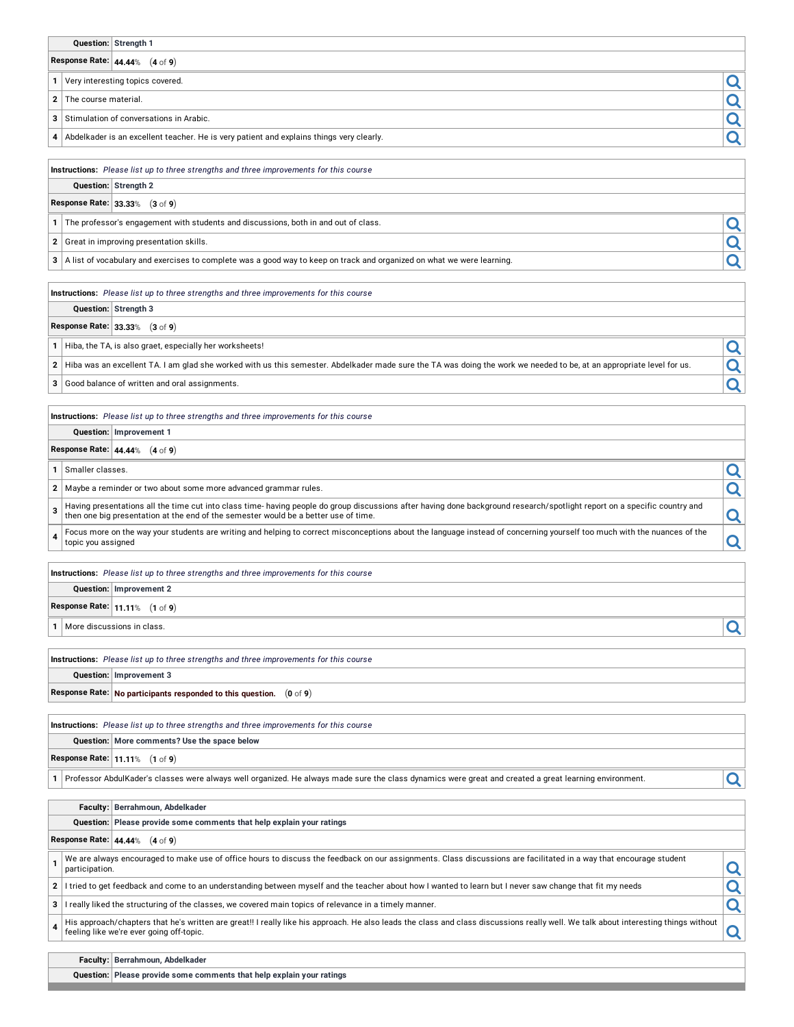| Question: Strength 1                                                                                                                                                                                                                                                  |   |
|-----------------------------------------------------------------------------------------------------------------------------------------------------------------------------------------------------------------------------------------------------------------------|---|
| Response Rate: $44.44\%$ (4 of 9)                                                                                                                                                                                                                                     |   |
| Very interesting topics covered.<br>1                                                                                                                                                                                                                                 | Q |
| The course material.<br>2                                                                                                                                                                                                                                             | Q |
| Stimulation of conversations in Arabic.<br>з                                                                                                                                                                                                                          | Q |
| Abdelkader is an excellent teacher. He is very patient and explains things very clearly.<br>4                                                                                                                                                                         | Q |
|                                                                                                                                                                                                                                                                       |   |
| Instructions: Please list up to three strengths and three improvements for this course<br>Question: Strength 2                                                                                                                                                        |   |
| Response Rate: 33.33% (3 of 9)                                                                                                                                                                                                                                        |   |
| The professor's engagement with students and discussions, both in and out of class.<br>1                                                                                                                                                                              |   |
| Great in improving presentation skills.<br>2                                                                                                                                                                                                                          | Q |
|                                                                                                                                                                                                                                                                       | Q |
| A list of vocabulary and exercises to complete was a good way to keep on track and organized on what we were learning.<br>3                                                                                                                                           |   |
| Instructions: Please list up to three strengths and three improvements for this course                                                                                                                                                                                |   |
| Question: Strength 3                                                                                                                                                                                                                                                  |   |
| Response Rate: 33.33% (3 of 9)                                                                                                                                                                                                                                        |   |
| Hiba, the TA, is also graet, especially her worksheets!<br>1                                                                                                                                                                                                          | Q |
| Hiba was an excellent TA. I am glad she worked with us this semester. Abdelkader made sure the TA was doing the work we needed to be, at an appropriate level for us.<br>2                                                                                            | Q |
| 3<br>Good balance of written and oral assignments.                                                                                                                                                                                                                    | Q |
|                                                                                                                                                                                                                                                                       |   |
| Instructions: Please list up to three strengths and three improvements for this course                                                                                                                                                                                |   |
| Question: Improvement 1                                                                                                                                                                                                                                               |   |
| Response Rate: $44.44\%$ (4 of 9)                                                                                                                                                                                                                                     |   |
| Smaller classes.<br>1                                                                                                                                                                                                                                                 | Q |
| 2   Maybe a reminder or two about some more advanced grammar rules.                                                                                                                                                                                                   | Q |
| Having presentations all the time cut into class time-having people do group discussions after having done background research/spotlight report on a specific country and<br>3<br>then one big presentation at the end of the semester would be a better use of time. | Q |
| Focus more on the way your students are writing and helping to correct misconceptions about the language instead of concerning yourself too much with the nuances of the<br>4<br>topic you assigned                                                                   | Q |
|                                                                                                                                                                                                                                                                       |   |
| Instructions: Please list up to three strengths and three improvements for this course                                                                                                                                                                                |   |
| Question: Improvement 2                                                                                                                                                                                                                                               |   |
| Response Rate: 11.11% (1 of 9)                                                                                                                                                                                                                                        |   |
| More discussions in class.<br>1                                                                                                                                                                                                                                       | Q |
| Instructions: Please list up to three strengths and three improvements for this course                                                                                                                                                                                |   |
| Question: Improvement 3                                                                                                                                                                                                                                               |   |
| Response Rate: No participants responded to this question. $(0 \text{ of } 9)$                                                                                                                                                                                        |   |
|                                                                                                                                                                                                                                                                       |   |
| <b>Instructions:</b> Please list up to three strengths and three improvements for this course<br>Question: More comments? Use the space below                                                                                                                         |   |
| Response Rate: 11.11% (1 of 9)                                                                                                                                                                                                                                        |   |
| Professor AbdulKader's classes were always well organized. He always made sure the class dynamics were great and created a great learning environment.<br>1                                                                                                           | Q |
|                                                                                                                                                                                                                                                                       |   |
| Faculty: Berrahmoun, Abdelkader                                                                                                                                                                                                                                       |   |
| Question: Please provide some comments that help explain your ratings                                                                                                                                                                                                 |   |
| Response Rate: 44.44% (4 of 9)                                                                                                                                                                                                                                        |   |
| We are always encouraged to make use of office hours to discuss the feedback on our assignments. Class discussions are facilitated in a way that encourage student<br>1<br>participation.                                                                             | Q |
| I tried to get feedback and come to an understanding between myself and the teacher about how I wanted to learn but I never saw change that fit my needs<br>2                                                                                                         | Q |
| I really liked the structuring of the classes, we covered main topics of relevance in a timely manner.<br>з                                                                                                                                                           | Q |
| His approach/chapters that he's written are great!! I really like his approach. He also leads the class and class discussions really well. We talk about interesting things without<br>4<br>feeling like we're ever going off-topic.                                  | Q |
| Faculty: Berrahmoun, Abdelkader                                                                                                                                                                                                                                       |   |

**Question: Please provide some comments that help explain your ratings**

<u> 1989 - Johann Barbara, martxa amerikan da</u>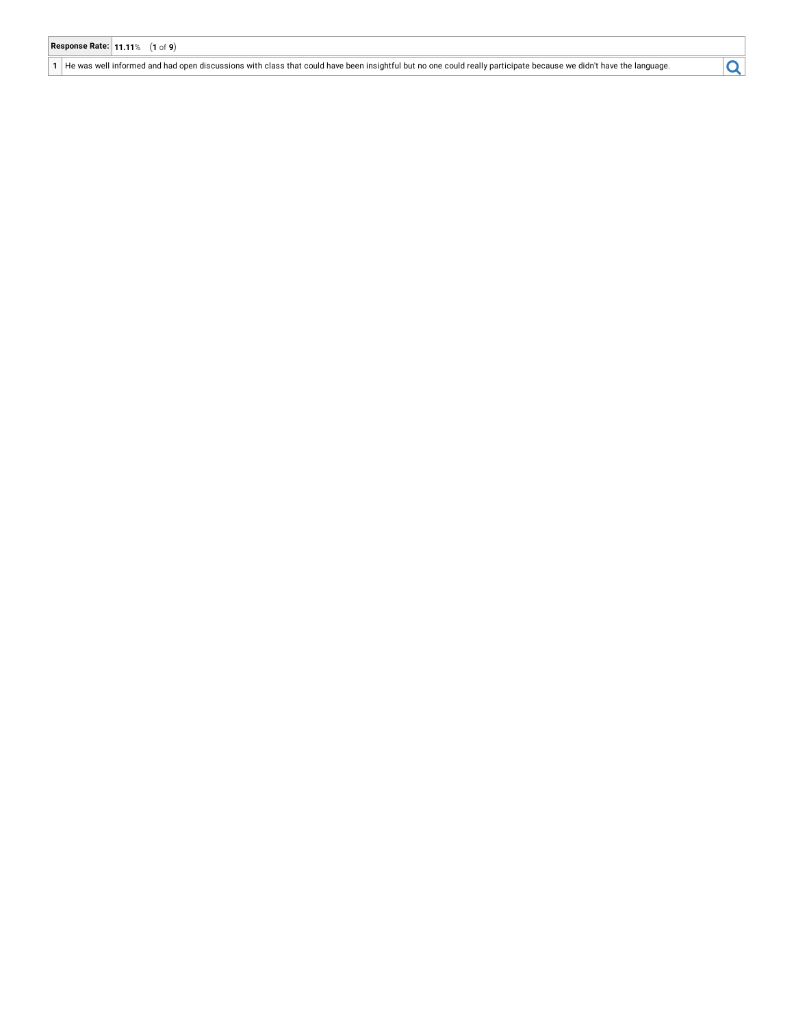1 | He was well informed and had open discussions with class that could have been insightful but no one could really participate because we didn't have the language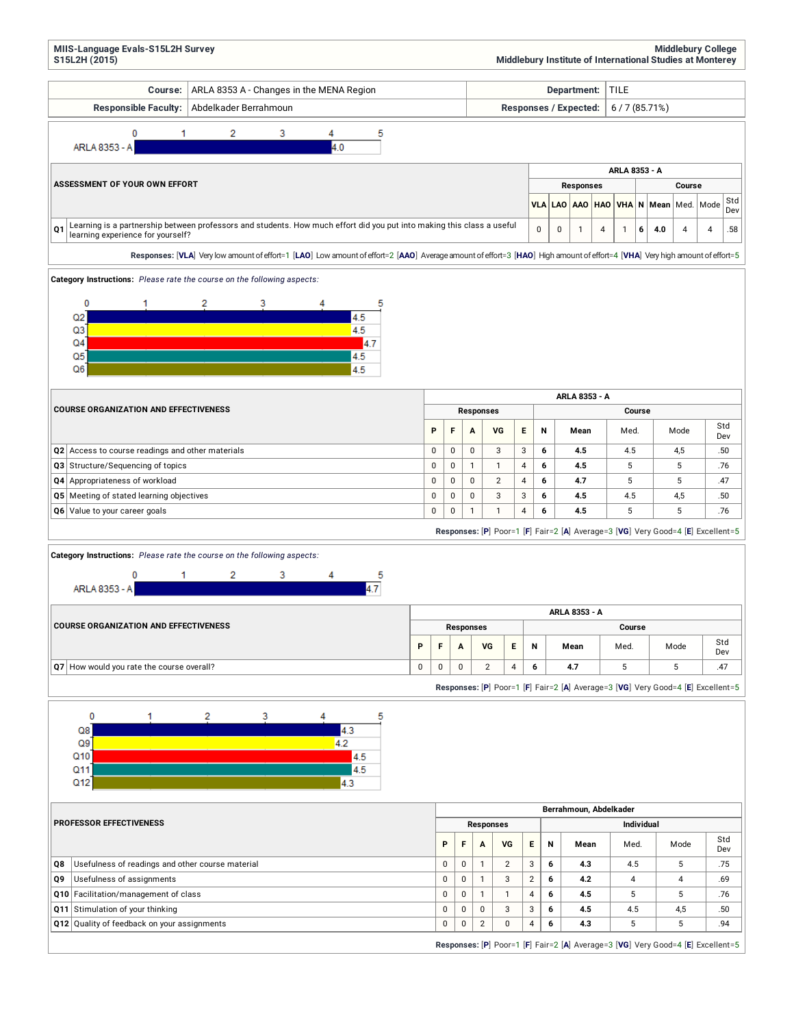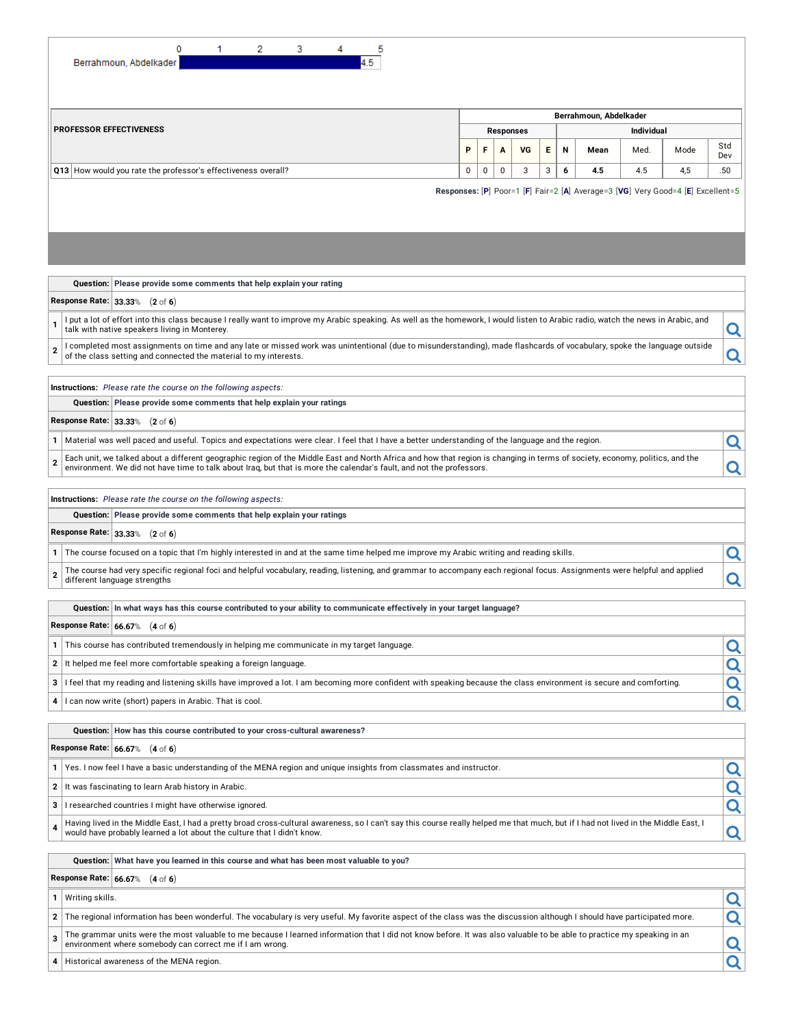| 2<br>0<br>1<br>3<br>4.5<br>Berrahmoun, Abdelkader                                                                                                                                                                                                                                                                      |   |                                       |           |                |  |   |   |                        |      |                                                                                 |            |  |  |  |
|------------------------------------------------------------------------------------------------------------------------------------------------------------------------------------------------------------------------------------------------------------------------------------------------------------------------|---|---------------------------------------|-----------|----------------|--|---|---|------------------------|------|---------------------------------------------------------------------------------|------------|--|--|--|
|                                                                                                                                                                                                                                                                                                                        |   |                                       |           |                |  |   |   | Berrahmoun, Abdelkader |      |                                                                                 |            |  |  |  |
| <b>PROFESSOR EFFECTIVENESS</b>                                                                                                                                                                                                                                                                                         |   | <b>Individual</b><br><b>Responses</b> |           |                |  |   |   |                        |      |                                                                                 |            |  |  |  |
|                                                                                                                                                                                                                                                                                                                        | P |                                       | F         | VG<br>А        |  | Е | N | Mean                   | Med. | Mode                                                                            | Std<br>Dev |  |  |  |
| Q13 How would you rate the professor's effectiveness overall?                                                                                                                                                                                                                                                          | 0 |                                       | $\pmb{0}$ | $\pmb{0}$<br>3 |  | 3 | 6 | 4.5                    | 4.5  | 4,5                                                                             | .50        |  |  |  |
|                                                                                                                                                                                                                                                                                                                        |   |                                       |           |                |  |   |   |                        |      | Responses: [P] Poor=1 [F] Fair=2 [A] Average=3 [VG] Very Good=4 [E] Excellent=5 |            |  |  |  |
| Question: Please provide some comments that help explain your rating<br>Response Rate: 33.33% (2 of 6)<br>I put a lot of effort into this class because I really want to improve my Arabic speaking. As well as the homework, I would listen to Arabic radio, watch the news in Arabic, and                            |   |                                       |           |                |  |   |   |                        |      |                                                                                 |            |  |  |  |
| 1<br>talk with native speakers living in Monterey.                                                                                                                                                                                                                                                                     |   |                                       |           |                |  |   |   |                        |      |                                                                                 | Q          |  |  |  |
| I completed most assignments on time and any late or missed work was unintentional (due to misunderstanding), made flashcards of vocabulary, spoke the language outside<br>of the class setting and connected the material to my interests.                                                                            |   |                                       |           |                |  |   |   |                        |      |                                                                                 | Q          |  |  |  |
| Instructions: Please rate the course on the following aspects:                                                                                                                                                                                                                                                         |   |                                       |           |                |  |   |   |                        |      |                                                                                 |            |  |  |  |
| Question: Please provide some comments that help explain your ratings                                                                                                                                                                                                                                                  |   |                                       |           |                |  |   |   |                        |      |                                                                                 |            |  |  |  |
| Response Rate: 33.33% (2 of 6)                                                                                                                                                                                                                                                                                         |   |                                       |           |                |  |   |   |                        |      |                                                                                 |            |  |  |  |
| Material was well paced and useful. Topics and expectations were clear. I feel that I have a better understanding of the language and the region.                                                                                                                                                                      |   |                                       |           |                |  |   |   |                        |      |                                                                                 | Q          |  |  |  |
| Each unit, we talked about a different geographic region of the Middle East and North Africa and how that region is changing in terms of society, economy, politics, and the<br>$\overline{2}$<br>environment. We did not have time to talk about Iraq, but that is more the calendar's fault, and not the professors. |   |                                       |           |                |  |   |   |                        |      |                                                                                 | Q          |  |  |  |
| Instructions: Please rate the course on the following aspects:                                                                                                                                                                                                                                                         |   |                                       |           |                |  |   |   |                        |      |                                                                                 |            |  |  |  |
| Question: Please provide some comments that help explain your ratings                                                                                                                                                                                                                                                  |   |                                       |           |                |  |   |   |                        |      |                                                                                 |            |  |  |  |
| Response Rate: 33.33% (2 of 6)                                                                                                                                                                                                                                                                                         |   |                                       |           |                |  |   |   |                        |      |                                                                                 |            |  |  |  |
| The course focused on a topic that I'm highly interested in and at the same time helped me improve my Arabic writing and reading skills.                                                                                                                                                                               |   |                                       |           |                |  |   |   |                        |      |                                                                                 | Q          |  |  |  |
| The course had very specific regional foci and helpful vocabulary, reading, listening, and grammar to accompany each regional focus. Assignments were helpful and applied                                                                                                                                              |   |                                       |           |                |  |   |   |                        |      |                                                                                 |            |  |  |  |
| $\overline{2}$<br>different language strengths                                                                                                                                                                                                                                                                         |   |                                       |           |                |  |   |   |                        |      |                                                                                 | Q          |  |  |  |
| Question:  In what ways has this course contributed to your ability to communicate effectively in your target language?                                                                                                                                                                                                |   |                                       |           |                |  |   |   |                        |      |                                                                                 |            |  |  |  |
| Response Rate: 66.67% (4 of 6)                                                                                                                                                                                                                                                                                         |   |                                       |           |                |  |   |   |                        |      |                                                                                 |            |  |  |  |
|                                                                                                                                                                                                                                                                                                                        |   |                                       |           |                |  |   |   |                        |      |                                                                                 |            |  |  |  |
| This course has contributed tremendously in helping me communicate in my target language.                                                                                                                                                                                                                              |   |                                       |           |                |  |   |   |                        |      |                                                                                 | <u>Q</u>   |  |  |  |
| It helped me feel more comfortable speaking a foreign language.<br>2                                                                                                                                                                                                                                                   |   |                                       |           |                |  |   |   |                        |      |                                                                                 | Q          |  |  |  |
| I feel that my reading and listening skills have improved a lot. I am becoming more confident with speaking because the class environment is secure and comforting.<br>3                                                                                                                                               |   |                                       |           |                |  |   |   |                        |      |                                                                                 | Q          |  |  |  |
| I can now write (short) papers in Arabic. That is cool.<br>4                                                                                                                                                                                                                                                           |   |                                       |           |                |  |   |   |                        |      |                                                                                 | Q          |  |  |  |
| Question: How has this course contributed to your cross-cultural awareness?                                                                                                                                                                                                                                            |   |                                       |           |                |  |   |   |                        |      |                                                                                 |            |  |  |  |
| Response Rate: 66.67% (4 of 6)                                                                                                                                                                                                                                                                                         |   |                                       |           |                |  |   |   |                        |      |                                                                                 |            |  |  |  |
| Yes. I now feel I have a basic understanding of the MENA region and unique insights from classmates and instructor.                                                                                                                                                                                                    |   |                                       |           |                |  |   |   |                        |      |                                                                                 | Q          |  |  |  |
| $\mathbf{2}$<br>It was fascinating to learn Arab history in Arabic.                                                                                                                                                                                                                                                    |   |                                       |           |                |  |   |   |                        |      |                                                                                 |            |  |  |  |
| 3<br>I researched countries I might have otherwise ignored.                                                                                                                                                                                                                                                            |   |                                       |           |                |  |   |   |                        |      |                                                                                 | Q          |  |  |  |
|                                                                                                                                                                                                                                                                                                                        |   |                                       |           |                |  |   |   |                        |      |                                                                                 | Q          |  |  |  |
| Having lived in the Middle East, I had a pretty broad cross-cultural awareness, so I can't say this course really helped me that much, but if I had not lived in the Middle East, I<br>4<br>would have probably learned a lot about the culture that I didn't know.                                                    |   |                                       |           |                |  |   |   |                        |      |                                                                                 | Q          |  |  |  |
| Question: What have you learned in this course and what has been most valuable to you?                                                                                                                                                                                                                                 |   |                                       |           |                |  |   |   |                        |      |                                                                                 |            |  |  |  |
| Response Rate: 66.67% (4 of 6)                                                                                                                                                                                                                                                                                         |   |                                       |           |                |  |   |   |                        |      |                                                                                 |            |  |  |  |
| Writing skills.<br>1                                                                                                                                                                                                                                                                                                   |   |                                       |           |                |  |   |   |                        |      |                                                                                 | Q          |  |  |  |
| The regional information has been wonderful. The vocabulary is very useful. My favorite aspect of the class was the discussion although I should have participated more.<br>$\mathbf{2}$                                                                                                                               |   |                                       |           |                |  |   |   |                        |      |                                                                                 | Q          |  |  |  |
| The grammar units were the most valuable to me because I learned information that I did not know before. It was also valuable to be able to practice my speaking in an<br>3<br>environment where somebody can correct me if I am wrong.                                                                                |   |                                       |           |                |  |   |   |                        |      |                                                                                 | Q          |  |  |  |
| Historical awareness of the MENA region.<br>4                                                                                                                                                                                                                                                                          |   |                                       |           |                |  |   |   |                        |      |                                                                                 | Q          |  |  |  |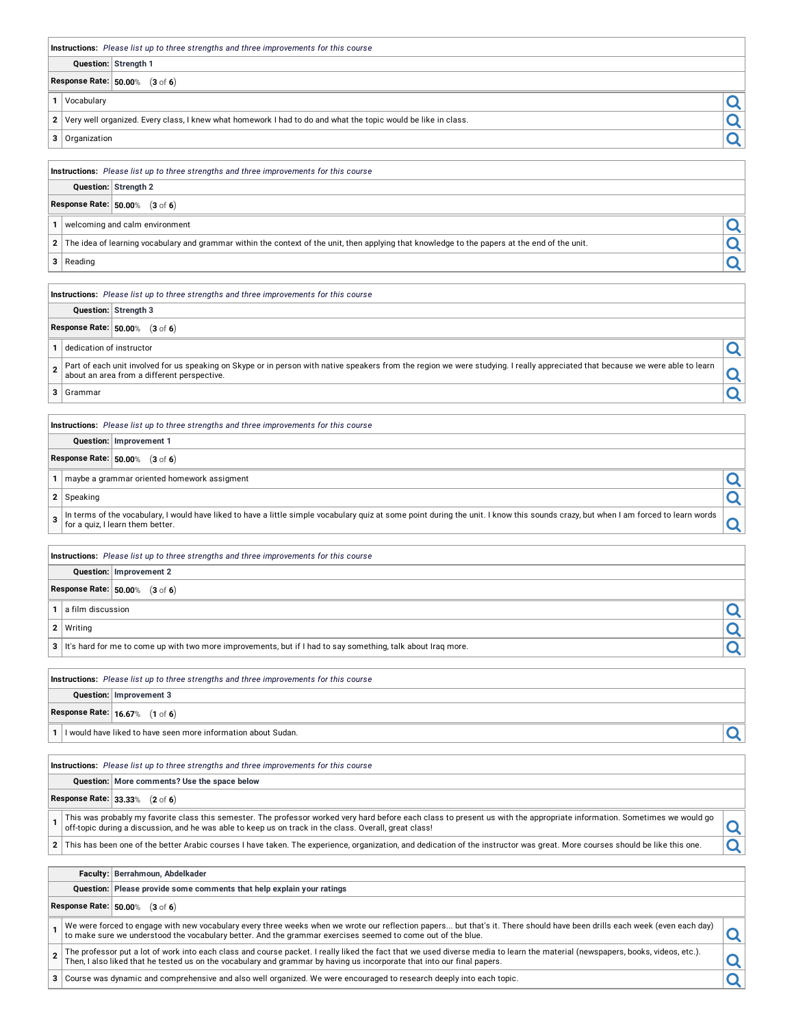|                                          | Instructions: Please list up to three strengths and three improvements for this course                                                                                                                                                                                              |                                 |
|------------------------------------------|-------------------------------------------------------------------------------------------------------------------------------------------------------------------------------------------------------------------------------------------------------------------------------------|---------------------------------|
|                                          | Question: Strength 1                                                                                                                                                                                                                                                                |                                 |
|                                          | Response Rate: 50.00% (3 of 6)                                                                                                                                                                                                                                                      |                                 |
| Vocabulary                               |                                                                                                                                                                                                                                                                                     |                                 |
| 1                                        |                                                                                                                                                                                                                                                                                     | Q                               |
| $\overline{2}$                           | Very well organized. Every class, I knew what homework I had to do and what the topic would be like in class.                                                                                                                                                                       | $\overline{\mathbf{Q}}$         |
| 3<br>Organization                        |                                                                                                                                                                                                                                                                                     | Q                               |
|                                          | Instructions: Please list up to three strengths and three improvements for this course                                                                                                                                                                                              |                                 |
|                                          | Question: Strength 2                                                                                                                                                                                                                                                                |                                 |
|                                          | Response Rate: 50.00% (3 of 6)                                                                                                                                                                                                                                                      |                                 |
| 1                                        | welcoming and calm environment                                                                                                                                                                                                                                                      | Q                               |
| $\mathbf{2}$                             | The idea of learning vocabulary and grammar within the context of the unit, then applying that knowledge to the papers at the end of the unit.                                                                                                                                      |                                 |
| 3 Reading                                |                                                                                                                                                                                                                                                                                     | $\frac{\mathsf{Q}}{\mathsf{Q}}$ |
|                                          |                                                                                                                                                                                                                                                                                     |                                 |
|                                          | Instructions: Please list up to three strengths and three improvements for this course                                                                                                                                                                                              |                                 |
|                                          | Question: Strength 3                                                                                                                                                                                                                                                                |                                 |
|                                          | Response Rate: 50.00% (3 of 6)                                                                                                                                                                                                                                                      |                                 |
| dedication of instructor<br>$\mathbf{1}$ |                                                                                                                                                                                                                                                                                     | Q                               |
| $\overline{2}$                           | Part of each unit involved for us speaking on Skype or in person with native speakers from the region we were studying. I really appreciated that because we were able to learn                                                                                                     |                                 |
|                                          | about an area from a different perspective.                                                                                                                                                                                                                                         | <u>Q</u>                        |
| 3<br>Grammar                             |                                                                                                                                                                                                                                                                                     | Q                               |
|                                          | Instructions: Please list up to three strengths and three improvements for this course                                                                                                                                                                                              |                                 |
|                                          | Question: Improvement 1                                                                                                                                                                                                                                                             |                                 |
|                                          | Response Rate: 50.00% (3 of 6)                                                                                                                                                                                                                                                      |                                 |
| 1                                        | maybe a grammar oriented homework assigment                                                                                                                                                                                                                                         |                                 |
|                                          |                                                                                                                                                                                                                                                                                     | Q                               |
| 2 Speaking                               |                                                                                                                                                                                                                                                                                     | Q                               |
| 3                                        | In terms of the vocabulary, I would have liked to have a little simple vocabulary quiz at some point during the unit. I know this sounds crazy, but when I am forced to learn words<br>for a quiz, I learn them better.                                                             | Q                               |
|                                          | Instructions: Please list up to three strengths and three improvements for this course                                                                                                                                                                                              |                                 |
|                                          | Question: Improvement 2                                                                                                                                                                                                                                                             |                                 |
|                                          | Response Rate: 50.00% (3 of 6)                                                                                                                                                                                                                                                      |                                 |
| a film discussion<br>1                   |                                                                                                                                                                                                                                                                                     | Q                               |
| $\mathbf{2}$<br>Writing                  |                                                                                                                                                                                                                                                                                     | Q                               |
|                                          | 3 It's hard for me to come up with two more improvements, but if I had to say something, talk about Iraq more.                                                                                                                                                                      | Q                               |
|                                          |                                                                                                                                                                                                                                                                                     |                                 |
|                                          | <b>Instructions:</b> Please list up to three strengths and three improvements for this course                                                                                                                                                                                       |                                 |
|                                          | Question: Improvement 3                                                                                                                                                                                                                                                             |                                 |
|                                          | Response Rate: 16.67% (1 of 6)                                                                                                                                                                                                                                                      |                                 |
| 1                                        | I would have liked to have seen more information about Sudan.                                                                                                                                                                                                                       | Q                               |
|                                          |                                                                                                                                                                                                                                                                                     |                                 |
|                                          | <b>Instructions:</b> Please list up to three strengths and three improvements for this course                                                                                                                                                                                       |                                 |
|                                          | Question: More comments? Use the space below                                                                                                                                                                                                                                        |                                 |
|                                          | Response Rate: 33.33% (2 of 6)                                                                                                                                                                                                                                                      |                                 |
| $\mathbf{1}$                             | This was probably my favorite class this semester. The professor worked very hard before each class to present us with the appropriate information. Sometimes we would go<br>off-topic during a discussion, and he was able to keep us on track in the class. Overall, great class! | Q                               |
| $\mathbf{2}$                             | This has been one of the better Arabic courses I have taken. The experience, organization, and dedication of the instructor was great. More courses should be like this one.                                                                                                        | Q                               |
|                                          | Faculty: Berrahmoun, Abdelkader                                                                                                                                                                                                                                                     |                                 |
|                                          | Question: Please provide some comments that help explain your ratings                                                                                                                                                                                                               |                                 |
|                                          | Response Rate: 50.00% (3 of 6)                                                                                                                                                                                                                                                      |                                 |
|                                          | od to engage with now vooebulery overy three weeks when we wrote our reflection nepers hut thet's it. There should hove been drille each week (e                                                                                                                                    |                                 |

1 We were forced to engage with new vocabulary every three weeks when we wrote our reflection papers... but that's it. There should have been drills each week (even each day) **Q** 

2 The professor put a lot of work into each class and course packet. I really liked the fact that we used diverse media to learn the material (newspapers, books, videos, etc.).

**<sup>3</sup>** Course was dynamic and comprehensive and also well organized. We were encouraged to research deeply into each topic.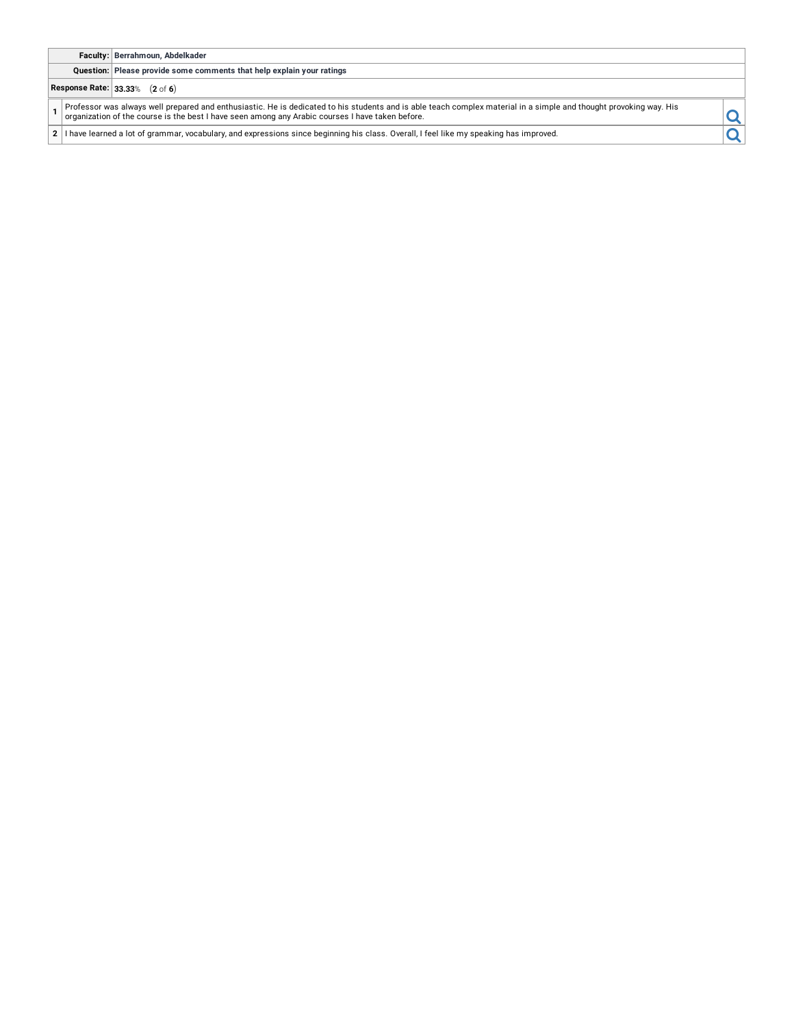## **Faculty: Berrahmoun, Abdelkader**

**Question: Please provide some comments that help explain your ratings**

# **Response Rate: 33.33**% (**2** of **6**)

1 Professor was always well prepared and enthusiastic. He is dedicated to his students and is able teach complex material in a simple and thought provoking way. His example and thought provoking way. His

**2** I have learned a lot of grammar, vocabulary, and expressions since beginning his class. Overall, I feel like my speaking has improved.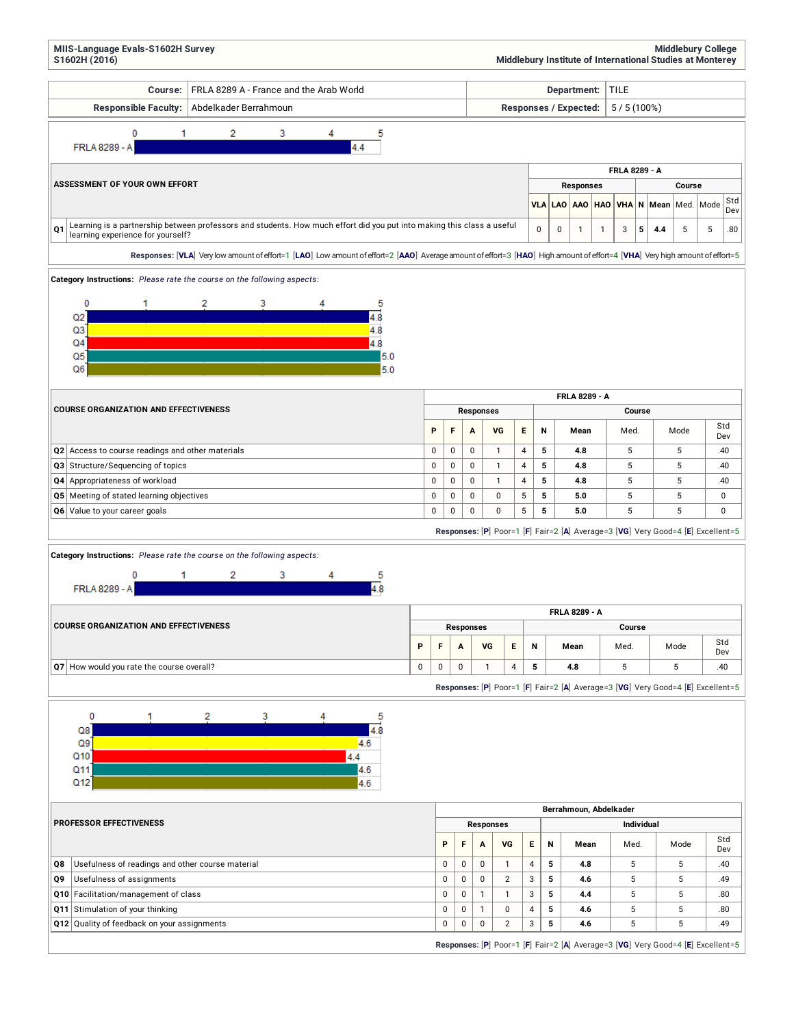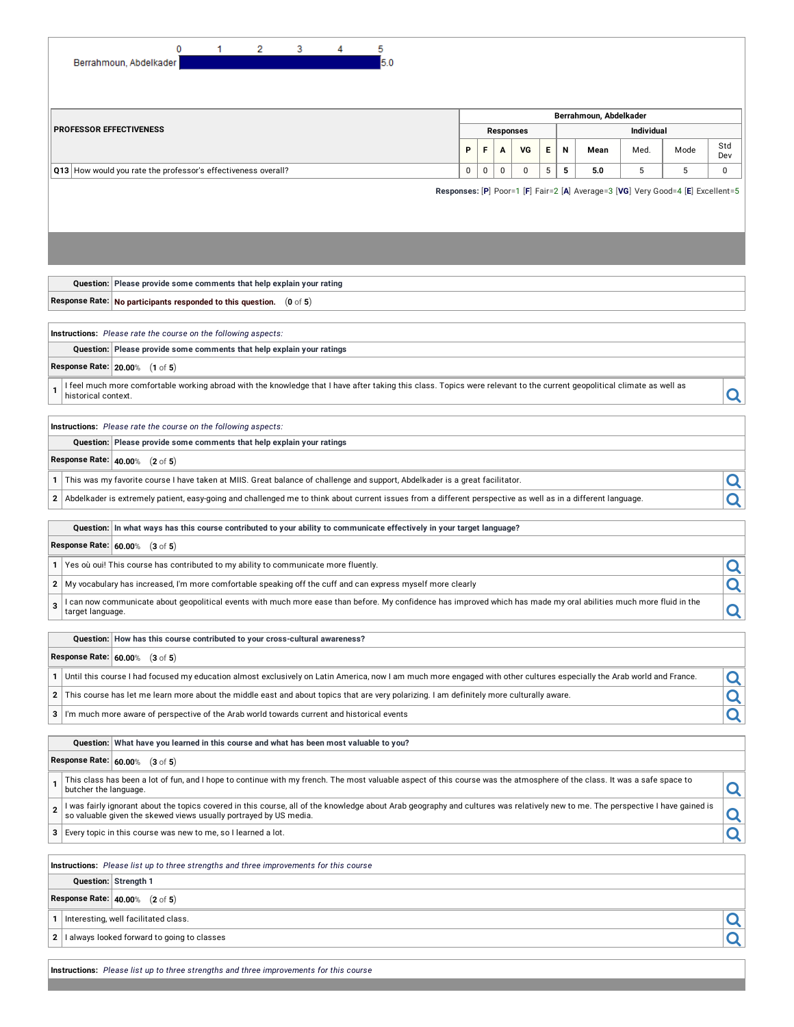| 0<br>2<br>3<br>1<br>5<br>5.0<br>Berrahmoun, Abdelkader                                                                                                                                                 |   |  |        |                  |  |        |      |  |                   |      |            |
|--------------------------------------------------------------------------------------------------------------------------------------------------------------------------------------------------------|---|--|--------|------------------|--|--------|------|--|-------------------|------|------------|
|                                                                                                                                                                                                        |   |  |        |                  |  |        |      |  |                   |      |            |
| Berrahmoun, Abdelkader                                                                                                                                                                                 |   |  |        |                  |  |        |      |  |                   |      |            |
| <b>PROFESSOR EFFECTIVENESS</b>                                                                                                                                                                         |   |  |        | <b>Responses</b> |  |        |      |  | <b>Individual</b> |      |            |
|                                                                                                                                                                                                        | P |  | F<br>A | VG               |  | Е<br>Ν | Mean |  | Med.              | Mode | Std<br>Dev |
| 0<br>5<br>5<br>5<br>5<br>Q13 How would you rate the professor's effectiveness overall?<br>0<br>0<br>0<br>5.0                                                                                           |   |  |        |                  |  |        |      |  |                   |      | 0          |
| Responses: [P] Poor=1 [F] Fair=2 [A] Average=3 [VG] Very Good=4 [E] Excellent=5                                                                                                                        |   |  |        |                  |  |        |      |  |                   |      |            |
|                                                                                                                                                                                                        |   |  |        |                  |  |        |      |  |                   |      |            |
|                                                                                                                                                                                                        |   |  |        |                  |  |        |      |  |                   |      |            |
|                                                                                                                                                                                                        |   |  |        |                  |  |        |      |  |                   |      |            |
|                                                                                                                                                                                                        |   |  |        |                  |  |        |      |  |                   |      |            |
| Question: Please provide some comments that help explain your rating                                                                                                                                   |   |  |        |                  |  |        |      |  |                   |      |            |
| Response Rate: No participants responded to this question. (0 of 5)                                                                                                                                    |   |  |        |                  |  |        |      |  |                   |      |            |
|                                                                                                                                                                                                        |   |  |        |                  |  |        |      |  |                   |      |            |
| Instructions: Please rate the course on the following aspects:                                                                                                                                         |   |  |        |                  |  |        |      |  |                   |      |            |
| Question: Please provide some comments that help explain your ratings                                                                                                                                  |   |  |        |                  |  |        |      |  |                   |      |            |
| <b>Response Rate: 20.00% (1</b> of 5)                                                                                                                                                                  |   |  |        |                  |  |        |      |  |                   |      |            |
| I feel much more comfortable working abroad with the knowledge that I have after taking this class. Topics were relevant to the current geopolitical climate as well as                                |   |  |        |                  |  |        |      |  |                   |      |            |
| historical context.                                                                                                                                                                                    |   |  |        |                  |  |        |      |  |                   |      | Q          |
| Instructions: Please rate the course on the following aspects:                                                                                                                                         |   |  |        |                  |  |        |      |  |                   |      |            |
| Question: Please provide some comments that help explain your ratings                                                                                                                                  |   |  |        |                  |  |        |      |  |                   |      |            |
| <b>Response Rate: 40.00% (2</b> of 5)                                                                                                                                                                  |   |  |        |                  |  |        |      |  |                   |      |            |
| This was my favorite course I have taken at MIIS. Great balance of challenge and support, Abdelkader is a great facilitator.<br>1                                                                      |   |  |        |                  |  |        |      |  |                   |      | Q          |
| Abdelkader is extremely patient, easy-going and challenged me to think about current issues from a different perspective as well as in a different language.<br>2                                      |   |  |        |                  |  |        |      |  |                   |      | Q          |
|                                                                                                                                                                                                        |   |  |        |                  |  |        |      |  |                   |      |            |
| Question: In what ways has this course contributed to your ability to communicate effectively in your target language?                                                                                 |   |  |        |                  |  |        |      |  |                   |      |            |
| Response Rate: 60.00% (3 of 5)                                                                                                                                                                         |   |  |        |                  |  |        |      |  |                   |      |            |
| Yes où oui! This course has contributed to my ability to communicate more fluently.<br>1 <sup>1</sup>                                                                                                  |   |  |        |                  |  |        |      |  |                   |      | Q          |
| My vocabulary has increased, I'm more comfortable speaking off the cuff and can express myself more clearly<br>2 <sup>2</sup>                                                                          |   |  |        |                  |  |        |      |  |                   |      | Q          |
| I can now communicate about geopolitical events with much more ease than before. My confidence has improved which has made my oral abilities much more fluid in the<br>3                               |   |  |        |                  |  |        |      |  |                   |      |            |
| target language                                                                                                                                                                                        |   |  |        |                  |  |        |      |  |                   |      | <u>Q</u>   |
| Question: How has this course contributed to your cross-cultural awareness?                                                                                                                            |   |  |        |                  |  |        |      |  |                   |      |            |
| Response Rate: 60.00% (3 of 5)                                                                                                                                                                         |   |  |        |                  |  |        |      |  |                   |      |            |
| Until this course I had focused my education almost exclusively on Latin America, now I am much more engaged with other cultures especially the Arab world and France.<br>$1 \mid$                     |   |  |        |                  |  |        |      |  |                   |      | Q          |
| This course has let me learn more about the middle east and about topics that are very polarizing. I am definitely more culturally aware.<br>2                                                         |   |  |        |                  |  |        |      |  |                   |      | Q          |
| I'm much more aware of perspective of the Arab world towards current and historical events<br>3                                                                                                        |   |  |        |                  |  |        |      |  |                   |      | Q          |
|                                                                                                                                                                                                        |   |  |        |                  |  |        |      |  |                   |      |            |
| Question: What have you learned in this course and what has been most valuable to you?                                                                                                                 |   |  |        |                  |  |        |      |  |                   |      |            |
| Response Rate: 60.00% (3 of 5)                                                                                                                                                                         |   |  |        |                  |  |        |      |  |                   |      |            |
| This class has been a lot of fun, and I hope to continue with my french. The most valuable aspect of this course was the atmosphere of the class. It was a safe space to<br>1<br>butcher the language. |   |  |        |                  |  |        |      |  |                   |      | Q          |
| I was fairly ignorant about the topics covered in this course, all of the knowledge about Arab geography and cultures was relatively new to me. The perspective I have gained is<br>2                  |   |  |        |                  |  |        |      |  |                   |      |            |
| so valuable given the skewed views usually portrayed by US media.                                                                                                                                      |   |  |        |                  |  |        |      |  |                   |      | Q          |
| Every topic in this course was new to me, so I learned a lot.<br>3                                                                                                                                     |   |  |        |                  |  |        |      |  |                   |      | Q          |
| Instructions: Please list up to three strengths and three improvements for this course                                                                                                                 |   |  |        |                  |  |        |      |  |                   |      |            |
| Question: Strength 1                                                                                                                                                                                   |   |  |        |                  |  |        |      |  |                   |      |            |
| <b>Response Rate: 40.00%</b> $(2 \text{ of } 5)$                                                                                                                                                       |   |  |        |                  |  |        |      |  |                   |      |            |
| Interesting, well facilitated class.<br>1                                                                                                                                                              |   |  |        |                  |  |        |      |  |                   |      | Q          |
| I always looked forward to going to classes<br>$2 \mid$                                                                                                                                                |   |  |        |                  |  |        |      |  |                   |      | Q          |
|                                                                                                                                                                                                        |   |  |        |                  |  |        |      |  |                   |      |            |

**Instructions:** *Please list up to three strengths and three improvements for this course*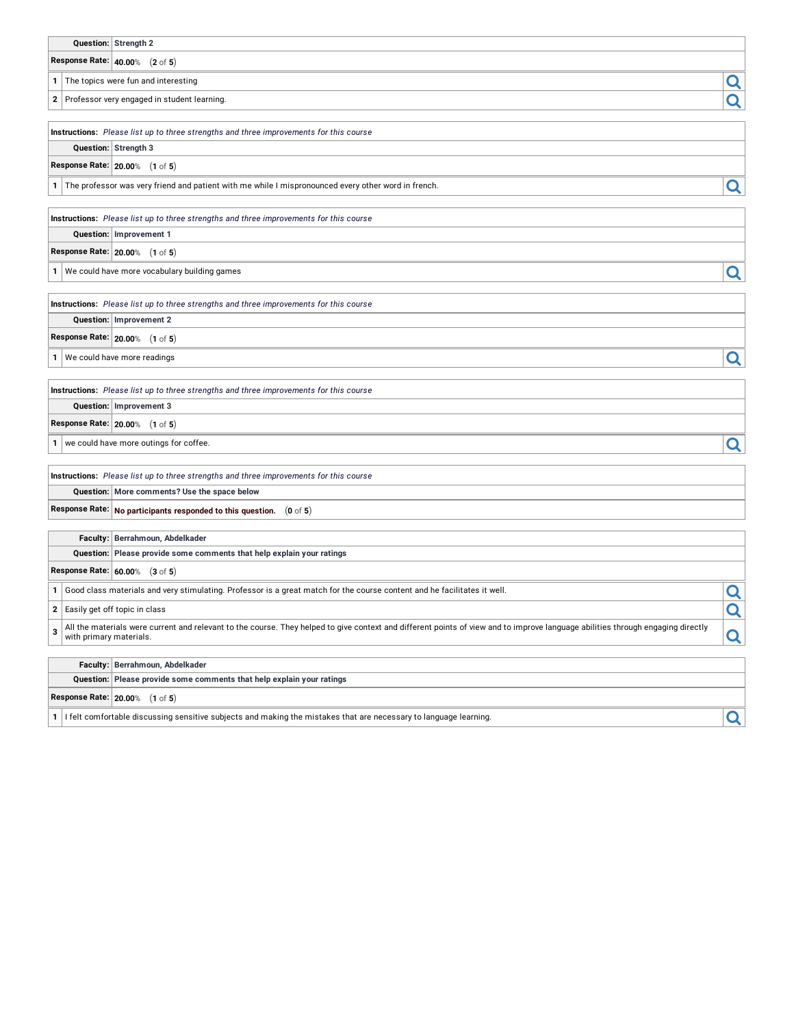|  | Question: Strength 2                                                                   |  |
|--|----------------------------------------------------------------------------------------|--|
|  | <b>Response Rate: <math> </math> 40.00% <math>\pmod{5}</math></b>                      |  |
|  | 1 The topics were fun and interesting                                                  |  |
|  | 2 Professor very engaged in student learning.                                          |  |
|  | Instructions: Please list up to three strengths and three improvements for this course |  |

**Question: Strength 3**

**Response Rate: 20.00**% (**1** of **5**)

**<sup>1</sup>** The professor was very friend and patient with me while <sup>I</sup> mispronounced every other word in french.

**Instructions:** *Please list up to three strengths and three improvements for this course*

**Question: Improvement 1**

**Response Rate: 20.00**% (**1** of **5**)

**<sup>1</sup>** We could have more vocabulary building games

**Instructions:** *Please list up to three strengths and three improvements for this course* **Question: Improvement 2**

**Response Rate: 20.00**% (**1** of **5**)

**1** We could have more readings **and the could have more readings** 

**Instructions:** *Please list up to three strengths and three improvements for this course*

**Question: Improvement 3**

**Response Rate: 20.00**% (**1** of **5**)

**1** we could have more outings for coffee.

**Instructions:** *Please list up to three strengths and three improvements for this course* **Question: More comments? Use the space below**

**Response Rate: No participants responded to this question.** (**0** of **5**)

**Faculty: Berrahmoun, Abdelkader**

**Question: Please provide some comments that help explain your ratings**

**Response Rate: 60.00**% (**3** of **5**)

**1** Good class materials and very stimulating. Professor is a great match for the course content and he facilitates it well.<br>**2** Easily get off topic in class

**2** Easily get off topic in class

**3** All the materials were current and relevant to the course. They helped to give context and different points of view and to improve language abilities through engaging directly **Q** 

**Faculty: Berrahmoun, Abdelkader**

**Question: Please provide some comments that help explain your ratings**

**Response Rate: 20.00**% (**1** of **5**)

**1** I felt comfortable discussing sensitive subjects and making the mistakes that are necessary to language learning.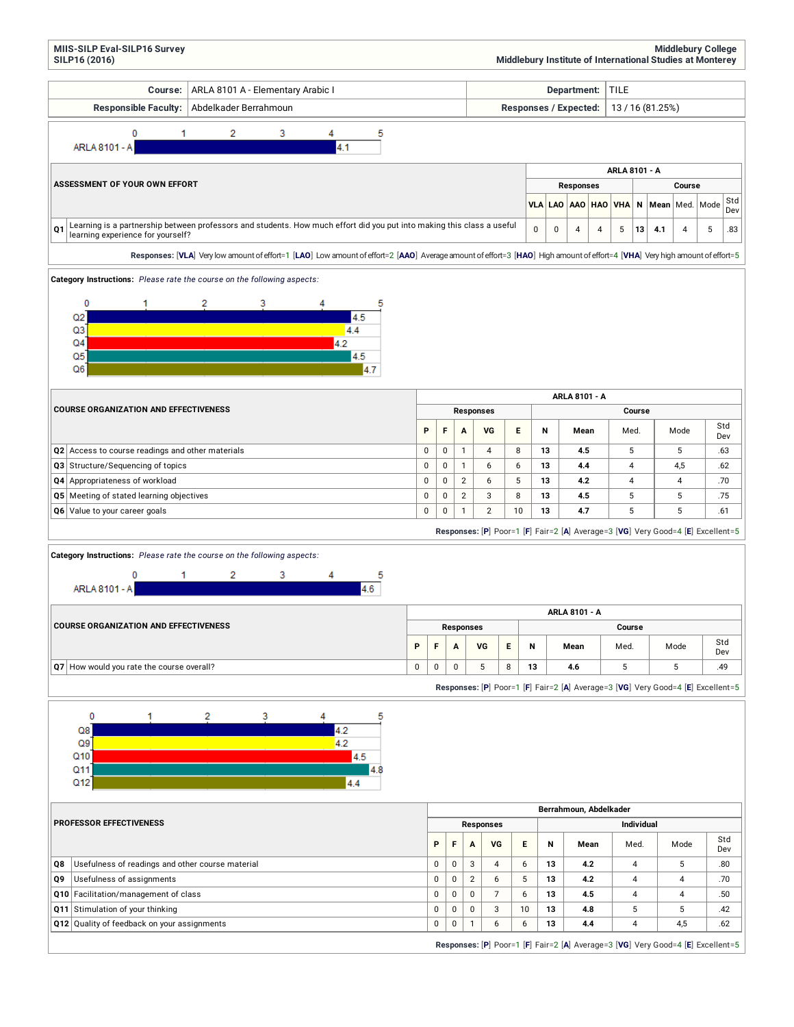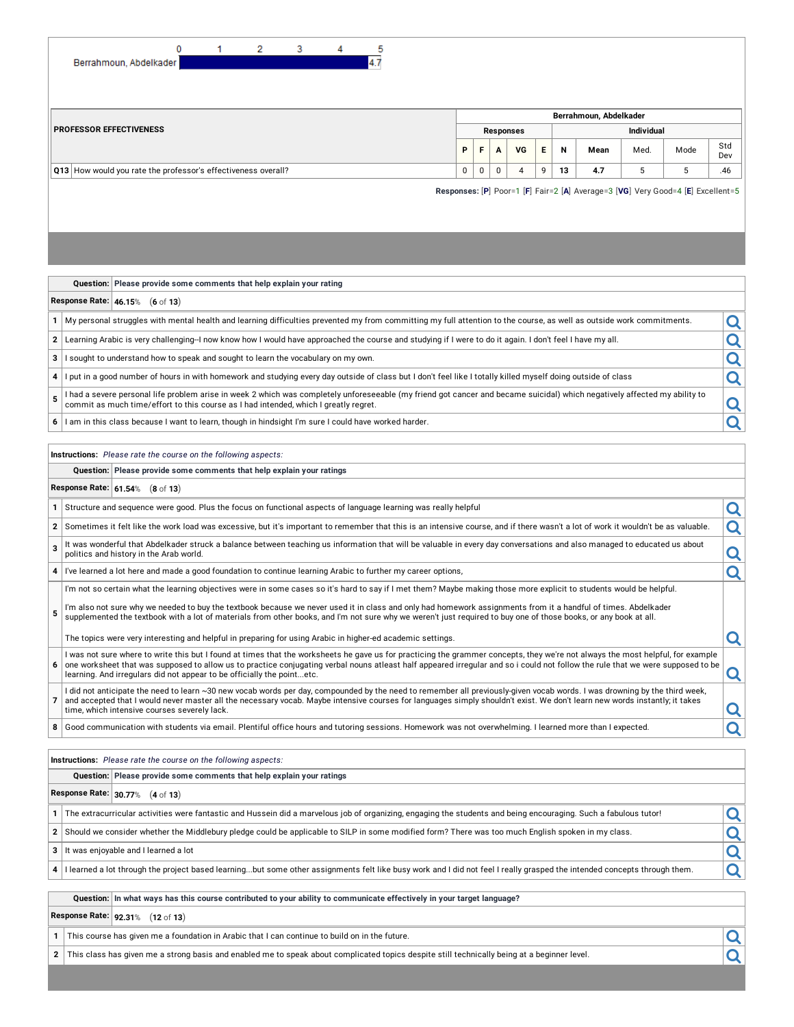| 0                                                             | 2. | 3 | 4 | 5   |                  |   |              |    |    |                   |                                                                                 |      |      |            |  |
|---------------------------------------------------------------|----|---|---|-----|------------------|---|--------------|----|----|-------------------|---------------------------------------------------------------------------------|------|------|------------|--|
| Berrahmoun, Abdelkader                                        |    |   |   | 4.7 |                  |   |              |    |    |                   |                                                                                 |      |      |            |  |
|                                                               |    |   |   |     |                  |   |              |    |    |                   |                                                                                 |      |      |            |  |
|                                                               |    |   |   |     |                  |   |              |    |    |                   |                                                                                 |      |      |            |  |
|                                                               |    |   |   |     |                  |   |              |    |    |                   | Berrahmoun, Abdelkader                                                          |      |      |            |  |
| <b>PROFESSOR EFFECTIVENESS</b>                                |    |   |   |     | <b>Responses</b> |   |              |    |    | <b>Individual</b> |                                                                                 |      |      |            |  |
|                                                               |    |   |   |     | P                | F | $\mathbf{A}$ | VG | E. | N                 | Mean                                                                            | Med. | Mode | Std<br>Dev |  |
| Q13 How would you rate the professor's effectiveness overall? |    |   |   |     | 0                | 0 | $\mathbf 0$  | 4  | 9  | 13                | 4.7                                                                             | 5    | 5    | .46        |  |
|                                                               |    |   |   |     |                  |   |              |    |    |                   | Responses: [P] Poor=1 [F] Fair=2 [A] Average=3 [VG] Very Good=4 [E] Excellent=5 |      |      |            |  |
|                                                               |    |   |   |     |                  |   |              |    |    |                   |                                                                                 |      |      |            |  |
|                                                               |    |   |   |     |                  |   |              |    |    |                   |                                                                                 |      |      |            |  |

|  | Question: Please provide some comments that help explain your rating |
|--|----------------------------------------------------------------------|
|--|----------------------------------------------------------------------|

## **Response Rate: 46.15**% (**6** of **13**)

| $1$ My personal struggles with mental health and learning difficulties prevented my from committing my full attention to the course, as well as outside work commitments. |  |
|---------------------------------------------------------------------------------------------------------------------------------------------------------------------------|--|
| 2 Learning Arabic is very challenging-I now know how I would have approached the course and studying if I were to do it again. I don't feel I have my all.                |  |
|                                                                                                                                                                           |  |
|                                                                                                                                                                           |  |

ught to understand how to speak and sought to learn the vocabulary on my own.<br>It in a good number of hours in with homework and studying every day outside of class but I don't feel like I totally killed myself doing outsid **<sup>4</sup>** <sup>I</sup> put in <sup>a</sup> good number of hours in with homework and studying every day outside of class but <sup>I</sup> don't feel like <sup>I</sup> totally killed myself doing outside of class

- **5** I had a severe personal life problem arise in week 2 which was completely unforeseeable (my friend got cancer and became suicidal) which negatively affected my ability to commit as much time/effort to this course as I had intended, which I greatly regret.
- **6** I am in this class because I want to learn, though in hindsight I'm sure I could have worked harder.

## **Instructions:** *Please rate the course on the following aspects:*

**Question: Please provide some comments that help explain your ratings**

### **Response Rate: 61.54**% (**8** of **13**)

- **<sup>1</sup>** Structure and sequence were good. Plus the focus on functional aspects of language learning was really helpful
- **2** Sometimes it felt like the work load was excessive, but it's important to remember that this is an intensive course, and if there wasn't a lot of work it wouldn't be as valuable.
- **3** It was wonderful that Abdelkader struck a balance between teaching us information that will be valuable in every day conversations and also managed to educated us about<br>politics and history in the Arab world.
- **<sup>4</sup>** I've learned <sup>a</sup> lot here and made <sup>a</sup> good foundation to continue learning Arabic to further my career options,

I'm not so certain what the learning objectives were in some cases so it's hard to say if I met them? Maybe making those more explicit to students would be helpful.

**5** I'm also not sure why we needed to buy the textbook because we never used it in class and only had homework assignments from it a handful of times. Abdelkader supplemented the textbook with a lot of materials from other books, and I'm not sure why we weren't just required to buy one of those books, or any book at all.

The topics were very interesting and helpful in preparing for using Arabic in higher-ed academic settings.

- **6** I was not sure where to write this but I found at times that the worksheets he gave us for practicing the grammer concepts, they we're not always the most helpful, for example one worksheet that was supposed to allow us to practice conjugating verbal nouns atleast half appeared irregular and so i could not follow the rule that we were supposed to be learning. And irregulars did not appear to be officially the point...etc.
- **7** I did not anticipate the need to learn ~30 new vocab words per day, compounded by the need to remember all previously-given vocab words. I was drowning by the third week, and accepted that I would never master all the necessary vocab. Maybe intensive courses for languages simply shouldn't exist. We don't learn new words instantly; it takes
- **8** Good communication with students via email. Plentiful office hours and tutoring sessions. Homework was not overwhelming. I learned more than I expected.

### **Instructions:** *Please rate the course on the following aspects:*

## **Question: Please provide some comments that help explain your ratings**

## **Response Rate: 30.77**% (**4** of **13**)

- The extracurricular activities were fantastic and Hussein did a marvelous job of organizing, engaging the students and being encouraging. Such a fabulous tutor!<br>2 Should we consider whether the Middlebury pledge could be a
- **<sup>2</sup>** Should we consider whether the Middlebury pledge could be applicable to SILP in some modified form? There was too much English spoken in my class.
- **<sup>3</sup>** It was enjoyable and <sup>I</sup> learned <sup>a</sup> lot
- **4** I learned a lot through the project based learning...but some other assignments felt like busy work and I did not feel I really grasped the intended concepts through them.

Question: In what ways has this course contributed to your ability to communicate effectively in your target language?

## **Response Rate: 92.31**% (**12** of **13**)

**1** This course has given me a foundation in Arabic that I can continue to build on in the future.

**2** This class has given me a strong basis and enabled me to speak about complicated topics despite still technically being at a beginner level.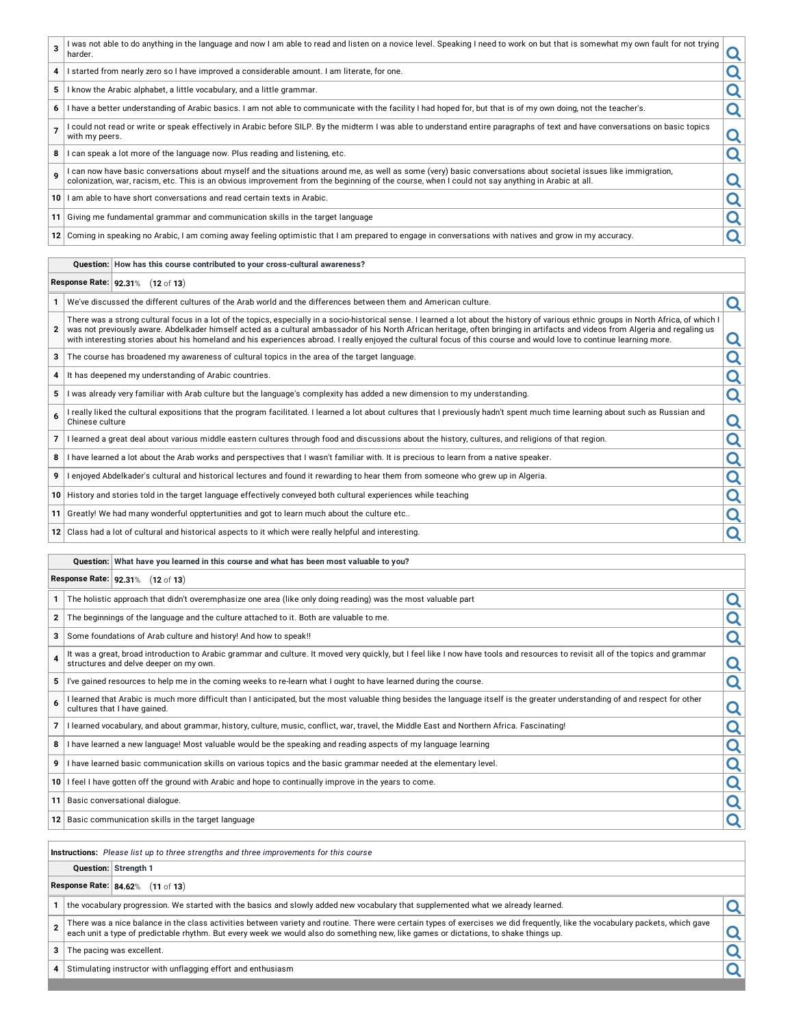| $\mathbf{a}$    | was not able to do anything in the language and now I am able to read and listen on a novice level. Speaking I need to work on but that is somewhat my own fault for not trying  <br>harder.                                   |  |
|-----------------|--------------------------------------------------------------------------------------------------------------------------------------------------------------------------------------------------------------------------------|--|
| 4               | I started from nearly zero so I have improved a considerable amount. I am literate, for one.                                                                                                                                   |  |
| 5               | know the Arabic alphabet, a little vocabulary, and a little grammar.                                                                                                                                                           |  |
| 6               | I have a better understanding of Arabic basics. I am not able to communicate with the facility I had hoped for, but that is of my own doing, not the teacher's.                                                                |  |
|                 | I could not read or write or speak effectively in Arabic before SILP. By the midterm I was able to understand entire paragraphs of text and have conversations on basic topics<br>with my peers.                               |  |
| 8               | I can speak a lot more of the language now. Plus reading and listening, etc.                                                                                                                                                   |  |
|                 | I can now have basic conversations about myself and the situations around me, as well as some (very) basic conversations about societal issues like immigration, colonization, are racism, etc. This is an obvious improvement |  |
| 10 <sup>1</sup> | I am able to have short conversations and read certain texts in Arabic.                                                                                                                                                        |  |
|                 | 11 Giving me fundamental grammar and communication skills in the target language                                                                                                                                               |  |
|                 | 12 Coming in speaking no Arabic, I am coming away feeling optimistic that I am prepared to engage in conversations with natives and grow in my accuracy.                                                                       |  |

#### **Question: How has this course contributed to your cross-cultural awareness?**

### **Response Rate: 92.31**% (**12** of **13**)

- **1** We've discussed the different cultures of the Arab world and the differences between them and American culture.
- **2** There was a strong cultural focus in a lot of the topics, especially in a socio-historical sense. I learned a lot about the history of various ethnic groups in North Africa, of which I was not previously aware. Abdelkader himself acted as a cultural ambassador of his North African heritage, often bringing in artifacts and videos from Algeria and regaling us with interesting stories about his homeland and his experiences abroad. I really enjoyed the cultural focus of this course and would love to continue learning more.
- **3** The course has broadened my awareness of cultural topics in the area of the target language.
- 
- **4** It has deepened my understanding of Arabic countries.<br> **5** I was already very familiar with Arab culture but the language's complexity has added a new dimension to my understanding. **<sup>5</sup>** <sup>I</sup> was already very familiar with Arab culture but the language's complexity has added <sup>a</sup> new dimension to my understanding.
- **6** I really liked the cultural expositions that the program facilitated. I learned a lot about cultures that I previously hadn't spent much time learning about such as Russian and<br>Chinese culture
- **7** I learned a great deal about various middle eastern cultures through food and discussions about the history, cultures, and religions of that region.<br> **8** I have learned a lot about the Arab works and perspectives that
- **<sup>8</sup>** <sup>I</sup> have learned <sup>a</sup> lot about the Arab works and perspectives that <sup>I</sup> wasn't familiar with. It is precious to learn from <sup>a</sup> native speaker.
- **<sup>9</sup>** <sup>I</sup> enjoyed Abdelkader's cultural and historical lectures and found it rewarding to hear them from someone who grew up in Algeria.
- **<sup>10</sup>** History and stories told in the target language effectively conveyed both cultural experiences while teaching
- **11** Greatly! We had many wonderful opptertunities and got to learn much about the culture etc..

**<sup>12</sup>** Class had <sup>a</sup> lot of cultural and historical aspects to it which were really helpful and interesting.

## **Question: What have you learned in this course and what has been most valuable to you?**

## **Response Rate: 92.31**% (**12** of **13**)

- **1** The holistic approach that didn't overemphasize one area (like only doing reading) was the most valuable part<br> **2** The beginnings of the language and the culture attached to it. Both are valuable to me.<br> **3** Some found
- **<sup>2</sup>** The beginnings of the language and the culture attached to it. Both are valuable to me.
- **3** Some foundations of Arab culture and history! And how to speak!!
- **4** It was a great, broad introduction to Arabic grammar and culture. It moved very quickly, but I feel like I now have tools and resources to revisit all of the topics and grammar<br>structures and delve deeper on my own. It was a great, broad introduction to Arabic grammar and culture. It moved very quickly, but I feel like I now have tools and resources to revisit all of the topics and grammar<br> **5** I've gained resources to help me in the
- 
- **6** I learned that Arabic is much more difficult than I anticipated, but the most valuable thing besides the language itself is the greater understanding of and respect for other<br>cultures that I have gained. Frearned mat Arabic is much more difficult than I anticipated, but the most valuable fining besides the language itself is the greater understanding or and respect for other<br> **7** I learned vocabulary, and about grammar, hi
- 
- **<sup>8</sup>** <sup>I</sup> have learned <sup>a</sup> new language! Most valuable would be the speaking and reading aspects of my language learning
- **<sup>9</sup>** <sup>I</sup> have learned basic communication skills on various topics and the basic grammar needed at the elementary level.
- **<sup>10</sup>** <sup>I</sup> feel <sup>I</sup> have gotten off the ground with Arabic and hope to continually improve in the years to come.

**<sup>11</sup>** Basic conversational dialogue.

**12** Basic communication skills in the target language

**Instructions:** *Please list up to three strengths and three improvements for this course*

## **Question: Strength 1**

## **Response Rate: 84.62**% (**11** of **13**)

**1** the vocabulary progression. We started with the basics and slowly added new vocabulary that supplemented what we already learned.

- **2** There was a nice balance in the class activities between variety and routine. There were certain types of exercises we did frequently, like the vocabulary packets, which gave each unit a type of predictable rhythm. But every week we would also do something new, like games or dictations, to shake things up.
- **3** The pacing was excellent.
- **<sup>4</sup>** Stimulating instructor with unflagging effort and enthusiasm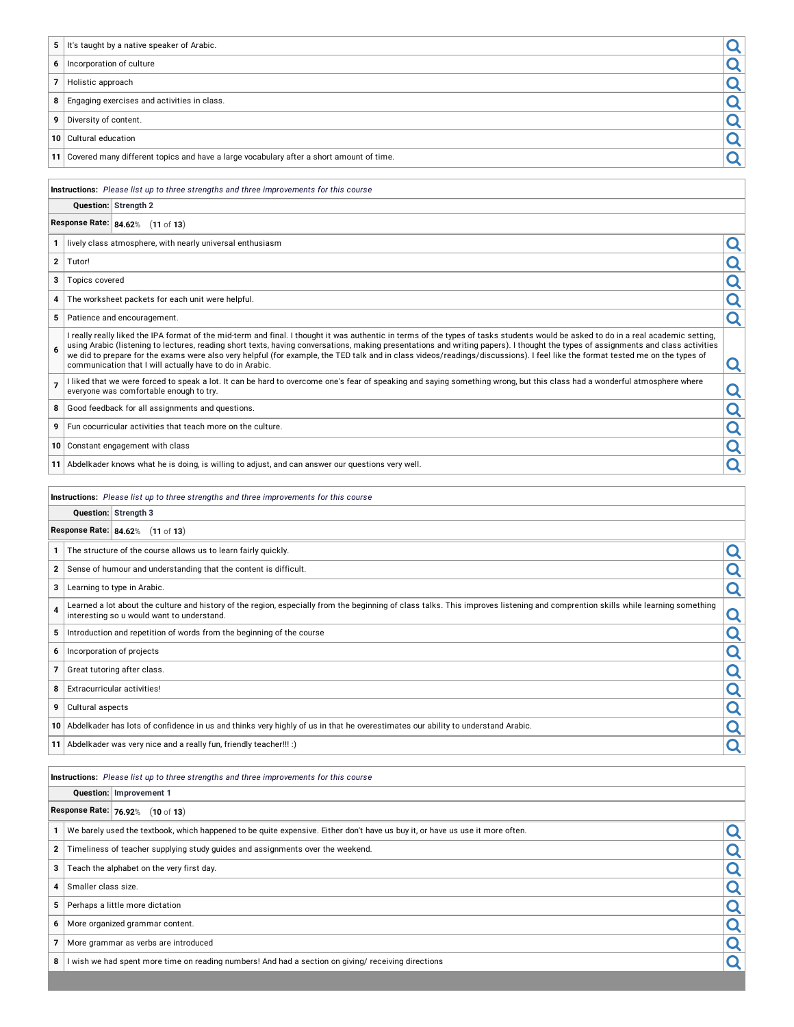| 5                        | It's taught by a native speaker of Arabic.                                                                                                                                                                                                                                                                                                                                                                                                                                                                                                                                                                            | Q                       |
|--------------------------|-----------------------------------------------------------------------------------------------------------------------------------------------------------------------------------------------------------------------------------------------------------------------------------------------------------------------------------------------------------------------------------------------------------------------------------------------------------------------------------------------------------------------------------------------------------------------------------------------------------------------|-------------------------|
| 6                        | Incorporation of culture                                                                                                                                                                                                                                                                                                                                                                                                                                                                                                                                                                                              | Q                       |
| $\overline{7}$           | Holistic approach                                                                                                                                                                                                                                                                                                                                                                                                                                                                                                                                                                                                     | <u>्</u>                |
| 8                        | Engaging exercises and activities in class.                                                                                                                                                                                                                                                                                                                                                                                                                                                                                                                                                                           | Q                       |
| 9                        | Diversity of content.                                                                                                                                                                                                                                                                                                                                                                                                                                                                                                                                                                                                 | Q                       |
| 10                       | Cultural education                                                                                                                                                                                                                                                                                                                                                                                                                                                                                                                                                                                                    | Q                       |
| 11                       | Covered many different topics and have a large vocabulary after a short amount of time.                                                                                                                                                                                                                                                                                                                                                                                                                                                                                                                               | Q                       |
|                          |                                                                                                                                                                                                                                                                                                                                                                                                                                                                                                                                                                                                                       |                         |
|                          | Instructions: Please list up to three strengths and three improvements for this course                                                                                                                                                                                                                                                                                                                                                                                                                                                                                                                                |                         |
|                          | Question: Strength 2                                                                                                                                                                                                                                                                                                                                                                                                                                                                                                                                                                                                  |                         |
|                          | Response Rate: 84.62% (11 of 13)                                                                                                                                                                                                                                                                                                                                                                                                                                                                                                                                                                                      |                         |
| $\mathbf{1}$             | lively class atmosphere, with nearly universal enthusiasm                                                                                                                                                                                                                                                                                                                                                                                                                                                                                                                                                             | Q                       |
| $\mathbf{2}$             | Tutor!                                                                                                                                                                                                                                                                                                                                                                                                                                                                                                                                                                                                                | Q                       |
| 3                        | Topics covered                                                                                                                                                                                                                                                                                                                                                                                                                                                                                                                                                                                                        | Q                       |
| 4                        | The worksheet packets for each unit were helpful.                                                                                                                                                                                                                                                                                                                                                                                                                                                                                                                                                                     | $\overline{\mathbf{Q}}$ |
| 5                        | Patience and encouragement.                                                                                                                                                                                                                                                                                                                                                                                                                                                                                                                                                                                           | Q                       |
| 6                        | I really really liked the IPA format of the mid-term and final. I thought it was authentic in terms of the types of tasks students would be asked to do in a real academic setting,<br>using Arabic (listening to lectures, reading short texts, having conversations, making presentations and writing papers). I thought the types of assignments and class activities<br>we did to prepare for the exams were also very helpful (for example, the TED talk and in class videos/readings/discussions). I feel like the format tested me on the types of<br>communication that I will actually have to do in Arabic. | Q                       |
| $\overline{7}$           | I liked that we were forced to speak a lot. It can be hard to overcome one's fear of speaking and saying something wrong, but this class had a wonderful atmosphere where<br>everyone was comfortable enough to try.                                                                                                                                                                                                                                                                                                                                                                                                  | Q                       |
| 8                        | Good feedback for all assignments and questions.                                                                                                                                                                                                                                                                                                                                                                                                                                                                                                                                                                      | Q                       |
| 9                        | Fun cocurricular activities that teach more on the culture.                                                                                                                                                                                                                                                                                                                                                                                                                                                                                                                                                           | Q                       |
| 10                       | Constant engagement with class                                                                                                                                                                                                                                                                                                                                                                                                                                                                                                                                                                                        | Q                       |
| 11                       | Abdelkader knows what he is doing, is willing to adjust, and can answer our questions very well.                                                                                                                                                                                                                                                                                                                                                                                                                                                                                                                      | Q                       |
|                          |                                                                                                                                                                                                                                                                                                                                                                                                                                                                                                                                                                                                                       |                         |
|                          |                                                                                                                                                                                                                                                                                                                                                                                                                                                                                                                                                                                                                       |                         |
|                          | Instructions: Please list up to three strengths and three improvements for this course                                                                                                                                                                                                                                                                                                                                                                                                                                                                                                                                |                         |
|                          | Question: Strength 3                                                                                                                                                                                                                                                                                                                                                                                                                                                                                                                                                                                                  |                         |
|                          | Response Rate: 84.62% (11 of 13)                                                                                                                                                                                                                                                                                                                                                                                                                                                                                                                                                                                      |                         |
| 1                        | The structure of the course allows us to learn fairly quickly.                                                                                                                                                                                                                                                                                                                                                                                                                                                                                                                                                        | Q                       |
| $\mathbf 2$              | Sense of humour and understanding that the content is difficult.                                                                                                                                                                                                                                                                                                                                                                                                                                                                                                                                                      | Q                       |
| 3                        | Learning to type in Arabic.                                                                                                                                                                                                                                                                                                                                                                                                                                                                                                                                                                                           | Q                       |
| 4                        | Learned a lot about the culture and history of the region, especially from the beginning of class talks. This improves listening and comprention skills while learning something<br>interesting so u would want to understand.                                                                                                                                                                                                                                                                                                                                                                                        | O                       |
| 5                        | Introduction and repetition of words from the beginning of the course                                                                                                                                                                                                                                                                                                                                                                                                                                                                                                                                                 | Q                       |
| 6                        | Incorporation of projects                                                                                                                                                                                                                                                                                                                                                                                                                                                                                                                                                                                             | Q                       |
| $\overline{\phantom{a}}$ | Great tutoring after class.                                                                                                                                                                                                                                                                                                                                                                                                                                                                                                                                                                                           | Q                       |
| 8                        | Extracurricular activities!                                                                                                                                                                                                                                                                                                                                                                                                                                                                                                                                                                                           | $\overline{\mathsf{Q}}$ |
| 9                        | Cultural aspects                                                                                                                                                                                                                                                                                                                                                                                                                                                                                                                                                                                                      | Q                       |
| 10                       | Abdelkader has lots of confidence in us and thinks very highly of us in that he overestimates our ability to understand Arabic.                                                                                                                                                                                                                                                                                                                                                                                                                                                                                       | Q                       |
| 11                       | Abdelkader was very nice and a really fun, friendly teacher!!! :)                                                                                                                                                                                                                                                                                                                                                                                                                                                                                                                                                     | Q                       |
|                          |                                                                                                                                                                                                                                                                                                                                                                                                                                                                                                                                                                                                                       |                         |
|                          | Instructions: Please list up to three strengths and three improvements for this course                                                                                                                                                                                                                                                                                                                                                                                                                                                                                                                                |                         |
|                          | Question: Improvement 1                                                                                                                                                                                                                                                                                                                                                                                                                                                                                                                                                                                               |                         |
|                          | Response Rate: 76.92% (10 of 13)                                                                                                                                                                                                                                                                                                                                                                                                                                                                                                                                                                                      |                         |
| $\mathbf{1}$             | We barely used the textbook, which happened to be quite expensive. Either don't have us buy it, or have us use it more often.                                                                                                                                                                                                                                                                                                                                                                                                                                                                                         | Q                       |
| $\bf{2}$                 | Timeliness of teacher supplying study guides and assignments over the weekend.                                                                                                                                                                                                                                                                                                                                                                                                                                                                                                                                        | Q                       |
| 3                        | Teach the alphabet on the very first day.                                                                                                                                                                                                                                                                                                                                                                                                                                                                                                                                                                             | <u>ର</u>                |
| 4                        | Smaller class size.                                                                                                                                                                                                                                                                                                                                                                                                                                                                                                                                                                                                   | Q                       |
| 5                        | Perhaps a little more dictation                                                                                                                                                                                                                                                                                                                                                                                                                                                                                                                                                                                       | Q                       |
| 6                        | More organized grammar content.                                                                                                                                                                                                                                                                                                                                                                                                                                                                                                                                                                                       | Q                       |
| $\overline{7}$<br>8      | More grammar as verbs are introduced<br>I wish we had spent more time on reading numbers! And had a section on giving/ receiving directions                                                                                                                                                                                                                                                                                                                                                                                                                                                                           | Q<br>Q                  |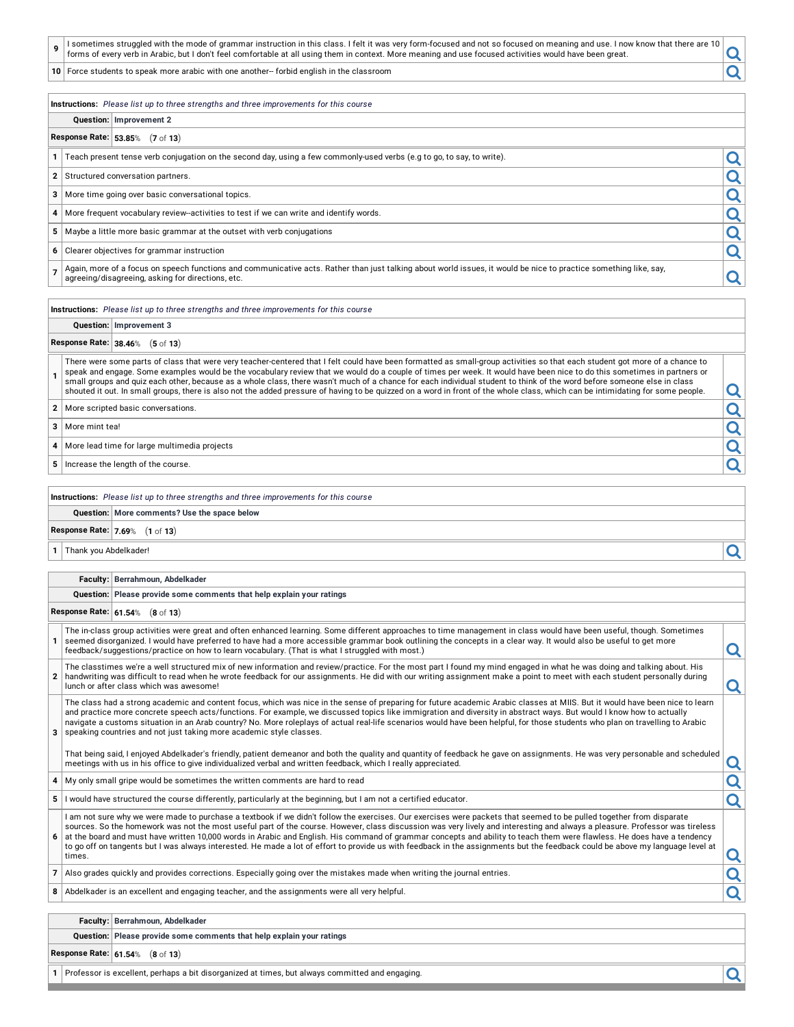| $^{\prime}$ I sometimes struggled with the mode of grammar instruction in this class. I felt it was very form-focused and not so focused on meaning and use. I now know that there are 10 $\scriptstyle\rm\,i$<br>forms of every verb in Arabic, but I don't feel comfortable at all using them in context. More meaning and use focused activities would have been great. |  |  |  |
|----------------------------------------------------------------------------------------------------------------------------------------------------------------------------------------------------------------------------------------------------------------------------------------------------------------------------------------------------------------------------|--|--|--|
|----------------------------------------------------------------------------------------------------------------------------------------------------------------------------------------------------------------------------------------------------------------------------------------------------------------------------------------------------------------------------|--|--|--|

**<sup>10</sup>** Force students to speak more arabic with one another-- forbid english in the classroom

#### **Instructions:** *Please list up to three strengths and three improvements for this course*

## **Question: Improvement 2**

## **Response Rate: 53.85**% (**7** of **13**)

**<sup>1</sup>** Teach present tense verb conjugation on the second day, using <sup>a</sup> few commonly-used verbs (e.g to go, to say, to write).

**2** Structured conversation partners.

2 Structured conversation partners.<br>
3 More time going over basic conversational topics.<br>
4 More frequent vocabulary review-activities to test if we can write and identify words.<br>
5 Maybe a little more basic grammar at the **<sup>4</sup>** More frequent vocabulary review--activities to test if we can write and identify words.

**<sup>5</sup>** Maybe <sup>a</sup> little more basic grammar at the outset with verb conjugations

**6** Clearer objectives for grammar instruction

**7** Again, more of a focus on speech functions and communicative acts. Rather than just talking about world issues, it would be nice to practice something like, say, Again, more or a focas on spectri anchors and communicative acts. Nather than just taiking about world issues, it would be firee to practice something the, say,

**Instructions:** *Please list up to three strengths and three improvements for this course*

## **Question: Improvement 3**

## **Response Rate: 38.46**% (**5** of **13**)

**1** There were some parts of class that were very teacher-centered that I felt could have been formatted as small-group activities so that each student got more of a chance to speak and engage. Some examples would be the vocabulary review that we would do a couple of times per week. It would have been nice to do this sometimes in partners or small groups and quiz each other, because as a whole class, there wasn't much of a chance for each individual student to think of the word before someone else in class shouted it out. In small groups, there is also not the added pressure of having to be quizzed on a word in front of the whole class, which can be intimidating for some people.

**2** More scripted basic conversations.

**<sup>3</sup>** More mint tea!

**<sup>4</sup>** More lead time for large multimedia projects

**5** Increase the length of the course.

#### **Instructions:** *Please list up to three strengths and three improvements for this course*

## **Question: More comments? Use the space below**

# **Response Rate: 7.69**% (**1** of **13**)

**<sup>1</sup>** Thank you Abdelkader!

#### **Faculty: Berrahmoun, Abdelkader**

#### **Question: Please provide some comments that help explain your ratings**

## **Response Rate: 61.54**% (**8** of **13**)

| The in-class group activities were great and often enhanced learning. Some different approaches to time management in class would have been useful, though. Sometimes<br>seemed disorganized. I would have preferred to have had a more accessible grammar book outlining the concepts in a clear way. It would also be useful to get more<br>feedback/suggestions/practice on how to learn vocabulary. (That is what I struggled with most.) |  |
|-----------------------------------------------------------------------------------------------------------------------------------------------------------------------------------------------------------------------------------------------------------------------------------------------------------------------------------------------------------------------------------------------------------------------------------------------|--|
| The classtimes we're a well structured mix of new information and review/practice. For the most part I found my mind engaged in what he was doing and talking about. His                                                                                                                                                                                                                                                                      |  |

The classtimes we're a well structured mix of new information and review/practice. For the most part I found my mind engaged in what he was doing and talking about. His<br>about time was difficult to read when he wrote feedba

**3** speaking countries and not just taking more academic style classes. The class had a strong academic and content focus, which was nice in the sense of preparing for future academic Arabic classes at MIIS. But it would have been nice to learn and practice more concrete speech acts/functions. For example, we discussed topics like immigration and diversity in abstract ways. But would I know how to actually navigate a customs situation in an Arab country? No. More roleplays of actual real-life scenarios would have been helpful, for those students who plan on travelling to Arabic

That being said, I enjoyed Abdelkader's friendly, patient demeanor and both the quality and quantity of feedback he gave on assignments. He was very personable and scheduled meetings with us in his office to give individualized verbal and written feedback, which I really appreciated.

- **<sup>4</sup>** My only small gripe would be sometimes the written comments are hard to read
- **5** I would have structured the course differently, particularly at the beginning, but I am not a certified educator.

**6** at the board and must have written 10,000 words in Arabic and English. His command of grammar concepts and ability to teach them were flawless. He does have a tendency I am not sure why we were made to purchase a textbook if we didn't follow the exercises. Our exercises were packets that seemed to be pulled together from disparate sources. So the homework was not the most useful part of the course. However, class discussion was very lively and interesting and always a pleasure. Professor was tireless to go off on tangents but I was always interested. He made a lot of effort to provide us with feedback in the assignments but the feedback could be above my language level at<br>times. times.

**7** Also grades quickly and provides corrections. Especially going over the mistakes made when writing the journal entries.

**<sup>8</sup>** Abdelkader is an excellent and engaging teacher, and the assignments were all very helpful.

## **Faculty: Berrahmoun, Abdelkader**

#### **Question: Please provide some comments that help explain your ratings**

**Response Rate: 61.54**% (**8** of **13**)

**<sup>1</sup>** Professor is excellent, perhaps <sup>a</sup> bit disorganized at times, but always committed and engaging.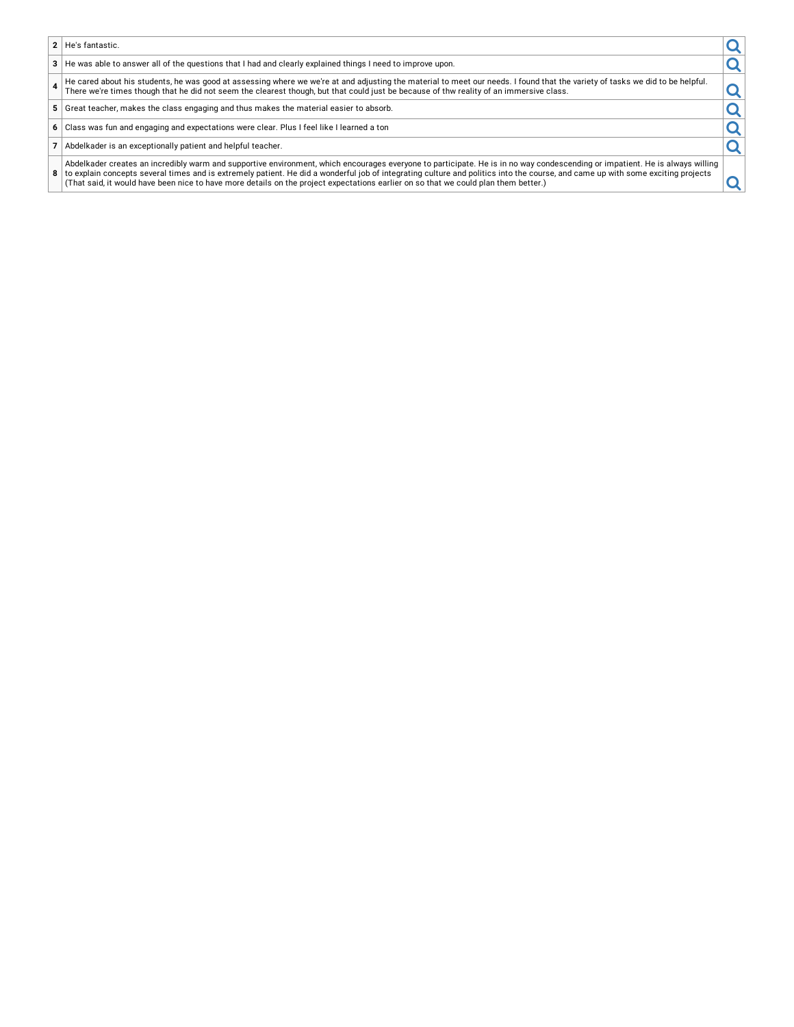- **2** He's fantastic.
- 
- **3** He's fantastic.<br> **3** He was able to answer all of the questions that I had and clearly explained things I need to improve upon.<br> **4** He cared about his students, he was good at assessing where we we're at and adjusting **4** He cared about his students, he was good at assessing where we we're at and adjusting the material to meet our needs. I found that the variety of tasks we did to be helpful. There we're times though that he did not seem the clearest though, but that could just be because of thw reality of an immersive class.
- **<sup>5</sup>** Great teacher, makes the class engaging and thus makes the material easier to absorb.
- **<sup>6</sup>** Class was fun and engaging and expectations were clear. Plus <sup>I</sup> feel like <sup>I</sup> learned <sup>a</sup> ton
- **7** Abdelkader is an exceptionally patient and helpful teacher.
- 8 to explain concepts several times and is extremely patient. He did a wonderful job of integrating culture and politics into the course, and came up with some exciting projects (That said, it would have been nice to have Abdelkader creates an incredibly warm and supportive environment, which encourages everyone to participate. He is in no way condescending or impatient. He is always willing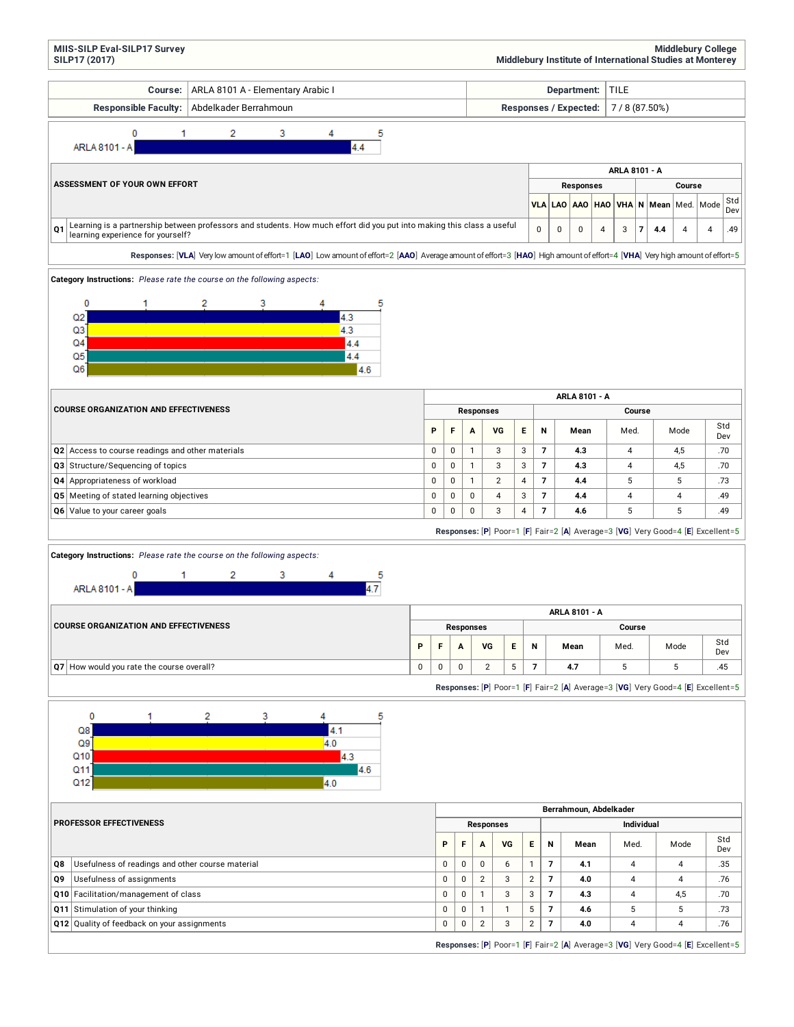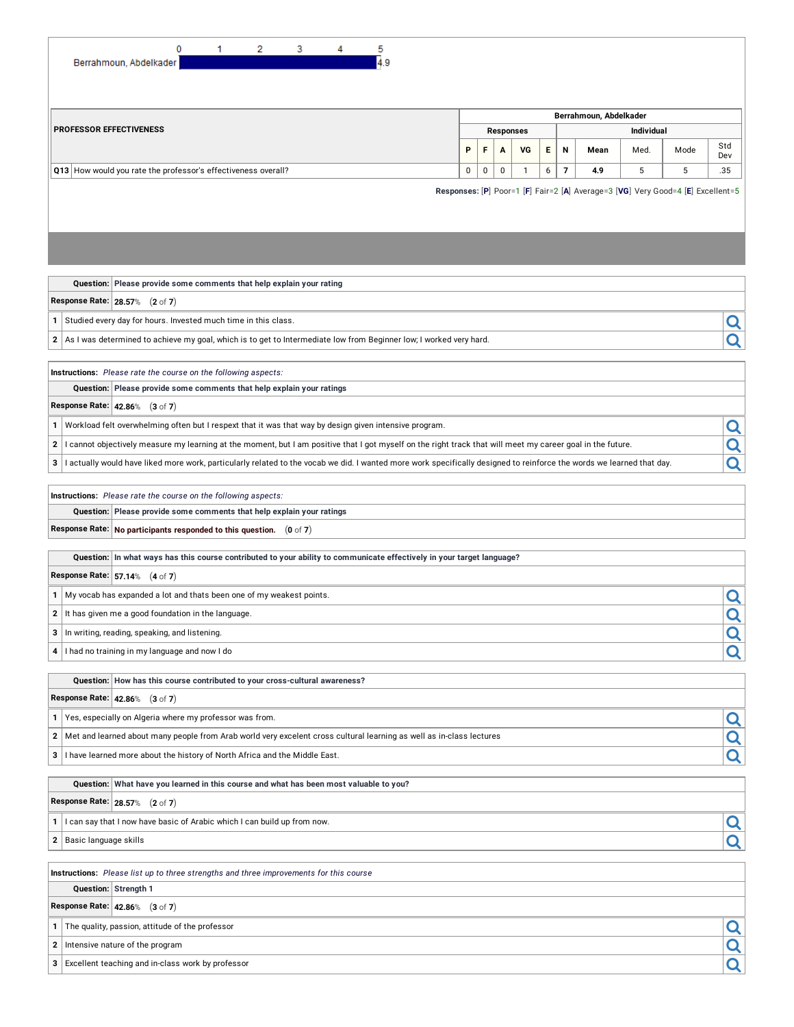|                                                               |                                                                      | 0 | 2 | 3 | 4 | 5   |   |             |                  |           |    |                |                        |                   |                                                                                 |            |
|---------------------------------------------------------------|----------------------------------------------------------------------|---|---|---|---|-----|---|-------------|------------------|-----------|----|----------------|------------------------|-------------------|---------------------------------------------------------------------------------|------------|
|                                                               | Berrahmoun, Abdelkader                                               |   |   |   |   | 4.9 |   |             |                  |           |    |                |                        |                   |                                                                                 |            |
|                                                               |                                                                      |   |   |   |   |     |   |             |                  |           |    |                |                        |                   |                                                                                 |            |
|                                                               |                                                                      |   |   |   |   |     |   |             |                  |           |    |                |                        |                   |                                                                                 |            |
|                                                               |                                                                      |   |   |   |   |     |   |             |                  |           |    |                |                        |                   |                                                                                 |            |
|                                                               |                                                                      |   |   |   |   |     |   |             |                  |           |    |                | Berrahmoun, Abdelkader |                   |                                                                                 |            |
| <b>PROFESSOR EFFECTIVENESS</b>                                |                                                                      |   |   |   |   |     |   |             | <b>Responses</b> |           |    |                |                        | <b>Individual</b> |                                                                                 |            |
|                                                               |                                                                      |   |   |   |   |     | P | F           | $\mathbf{A}$     | <b>VG</b> | E. | $\mathbf N$    | Mean                   | Med.              | Mode                                                                            | Std<br>Dev |
| Q13 How would you rate the professor's effectiveness overall? |                                                                      |   |   |   |   |     | 0 | $\mathbf 0$ | $\mathbf 0$      |           | 6  | $\overline{7}$ | 4.9                    | 5                 | 5                                                                               | .35        |
|                                                               |                                                                      |   |   |   |   |     |   |             |                  |           |    |                |                        |                   | Responses: [P] Poor=1 [F] Fair=2 [A] Average=3 [VG] Very Good=4 [E] Excellent=5 |            |
|                                                               |                                                                      |   |   |   |   |     |   |             |                  |           |    |                |                        |                   |                                                                                 |            |
|                                                               | Question: Please provide some comments that help explain your rating |   |   |   |   |     |   |             |                  |           |    |                |                        |                   |                                                                                 |            |

**Response Rate: 28.57**% (**2** of **7**)

**1** Studied every day for hours. Invested much time in this class.

**2** As I was determined to achieve my goal, which is to get to Intermediate low from Beginner low; I worked very hard.

**Instructions:** *Please rate the course on the following aspects:*

**Question: Please provide some comments that help explain your ratings**

**Response Rate: 42.86**% (**3** of **7**)

- 
- **1** Workload felt overwhelming often but I respext that it was that way by design given intensive program.<br>**2** I cannot objectively measure my learning at the moment, but I am positive that I got myself on the right track **<sup>2</sup>** <sup>I</sup> cannot objectively measure my learning at the moment, but <sup>I</sup> am positive that <sup>I</sup> got myself on the right track that will meet my career goal in the future.

**3** I actually would have liked more work, particularly related to the vocab we did. I wanted more work specifically designed to reinforce the words we learned that day.

**Instructions:** *Please rate the course on the following aspects:*

**Question: Please provide some comments that help explain your ratings**

**Response Rate: No participants responded to this question.** (**0** of **7**)

|  | Question: In what ways has this course contributed to your ability to communicate effectively in your target language? |  |
|--|------------------------------------------------------------------------------------------------------------------------|--|
|  | Response Rate: $57.14%$ (4 of 7)                                                                                       |  |
|  | 1 My vocab has expanded a lot and thats been one of my weakest points.                                                 |  |
|  | 2 It has given me a good foundation in the language.                                                                   |  |
|  | 3 In writing, reading, speaking, and listening.                                                                        |  |
|  | 4 I had no training in my language and now I do                                                                        |  |

**Question: How has this course contributed to your cross-cultural awareness?**

**Response Rate: 42.86**% (**3** of **7**)

**1** Yes, especially on Algeria where my professor was from.<br> **2** Met and learned about many people from Arab world very excelent cross cultural learning as well as in-class lectures **<sup>2</sup>** Met and learned about many people from Arab world very excelent cross cultural learning as well as in-class lectures

**3** I have learned more about the history of North Africa and the Middle East.

**Question: What have you learned in this course and what has been most valuable to you?**

**Response Rate: 28.57**% (**2** of **7**)

**1** I can say that I now have basic of Arabic which I can build up from now.

**<sup>2</sup>** Basic language skills

**Instructions:** *Please list up to three strengths and three improvements for this course*

## **Question: Strength 1**

**Response Rate: 42.86**% (**3** of **7**)

**1** The quality, passion, attitude of the professor

**<sup>2</sup>** Intensive nature of the program

**<sup>3</sup>** Excellent teaching and in-class work by professor